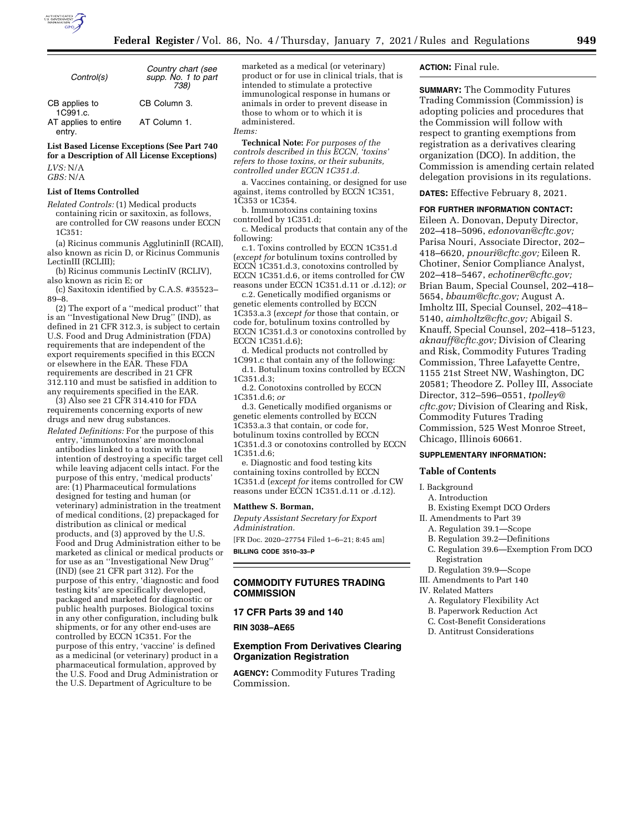

| Control(s)                     | Country chart (see<br>supp. No. 1 to part<br>738) |
|--------------------------------|---------------------------------------------------|
| CB applies to<br>1C991.c.      | CB Column 3.                                      |
| AT applies to entire<br>entry. | AT Column 1.                                      |

**List Based License Exceptions (See Part 740 for a Description of All License Exceptions)** 

*LVS:* N/A *GBS:* N/A

# **List of Items Controlled**

*Related Controls:* (1) Medical products containing ricin or saxitoxin, as follows, are controlled for CW reasons under ECCN 1C351:

(a) Ricinus communis AgglutininII (RCAII), also known as ricin D, or Ricinus Communis LectinIII (RCLIII);

(b) Ricinus communis LectinIV (RCLIV), also known as ricin E; or

(c) Saxitoxin identified by C.A.S. #35523– 89–8.

(2) The export of a ''medical product'' that is an ''Investigational New Drug'' (IND), as defined in 21 CFR 312.3, is subject to certain U.S. Food and Drug Administration (FDA) requirements that are independent of the export requirements specified in this ECCN or elsewhere in the EAR. These FDA requirements are described in 21 CFR 312.110 and must be satisfied in addition to any requirements specified in the EAR.

(3) Also see 21 CFR 314.410 for FDA requirements concerning exports of new drugs and new drug substances.

*Related Definitions:* For the purpose of this entry, 'immunotoxins' are monoclonal antibodies linked to a toxin with the intention of destroying a specific target cell while leaving adjacent cells intact. For the purpose of this entry, 'medical products' are: (1) Pharmaceutical formulations designed for testing and human (or veterinary) administration in the treatment of medical conditions, (2) prepackaged for distribution as clinical or medical products, and (3) approved by the U.S. Food and Drug Administration either to be marketed as clinical or medical products or for use as an ''Investigational New Drug'' (IND) (see 21 CFR part 312). For the purpose of this entry, 'diagnostic and food testing kits' are specifically developed, packaged and marketed for diagnostic or public health purposes. Biological toxins in any other configuration, including bulk shipments, or for any other end-uses are controlled by ECCN 1C351. For the purpose of this entry, 'vaccine' is defined as a medicinal (or veterinary) product in a pharmaceutical formulation, approved by the U.S. Food and Drug Administration or the U.S. Department of Agriculture to be

marketed as a medical (or veterinary) product or for use in clinical trials, that is intended to stimulate a protective immunological response in humans or animals in order to prevent disease in those to whom or to which it is administered.

# *Items:*

**Technical Note:** *For purposes of the controls described in this ECCN, 'toxins' refers to those toxins, or their subunits, controlled under ECCN 1C351.d.* 

a. Vaccines containing, or designed for use against, items controlled by ECCN 1C351, 1C353 or 1C354.

b. Immunotoxins containing toxins controlled by 1C351.d;

c. Medical products that contain any of the following:

c.1. Toxins controlled by ECCN 1C351.d (*except for* botulinum toxins controlled by ECCN 1C351.d.3, conotoxins controlled by ECCN 1C351.d.6, or items controlled for CW reasons under ECCN 1C351.d.11 or .d.12); *or* 

c.2. Genetically modified organisms or genetic elements controlled by ECCN 1C353.a.3 (*except for* those that contain, or code for, botulinum toxins controlled by ECCN 1C351.d.3 or conotoxins controlled by ECCN 1C351.d.6);

d. Medical products not controlled by 1C991.c that contain any of the following: d.1. Botulinum toxins controlled by ECCN

1C351.d.3; d.2. Conotoxins controlled by ECCN

1C351.d.6; *or* 

d.3. Genetically modified organisms or genetic elements controlled by ECCN 1C353.a.3 that contain, or code for, botulinum toxins controlled by ECCN 1C351.d.3 or conotoxins controlled by ECCN 1C351.d.6;

e. Diagnostic and food testing kits containing toxins controlled by ECCN 1C351.d (*except for* items controlled for CW reasons under ECCN 1C351.d.11 or .d.12).

#### **Matthew S. Borman,**

*Deputy Assistant Secretary for Export Administration.* 

[FR Doc. 2020–27754 Filed 1–6–21; 8:45 am] **BILLING CODE 3510–33–P** 

# **COMMODITY FUTURES TRADING COMMISSION**

# **17 CFR Parts 39 and 140**

**RIN 3038–AE65** 

# **Exemption From Derivatives Clearing Organization Registration**

**AGENCY:** Commodity Futures Trading Commission.

# **ACTION:** Final rule.

**SUMMARY:** The Commodity Futures Trading Commission (Commission) is adopting policies and procedures that the Commission will follow with respect to granting exemptions from registration as a derivatives clearing organization (DCO). In addition, the Commission is amending certain related delegation provisions in its regulations.

**DATES:** Effective February 8, 2021.

#### **FOR FURTHER INFORMATION CONTACT:**

Eileen A. Donovan, Deputy Director, 202–418–5096, *[edonovan@cftc.gov;](mailto:edonovan@cftc.gov)*  Parisa Nouri, Associate Director, 202– 418–6620, *[pnouri@cftc.gov;](mailto:pnouri@cftc.gov)* Eileen R. Chotiner, Senior Compliance Analyst, 202–418–5467, *[echotiner@cftc.gov;](mailto:echotiner@cftc.gov)*  Brian Baum, Special Counsel, 202–418– 5654, *[bbaum@cftc.gov;](mailto:bbaum@cftc.gov)* August A. Imholtz III, Special Counsel, 202–418– 5140, *[aimholtz@cftc.gov;](mailto:aimholtz@cftc.gov)* Abigail S. Knauff, Special Counsel, 202–418–5123, *[aknauff@cftc.gov;](mailto:aknauff@cftc.gov)* Division of Clearing and Risk, Commodity Futures Trading Commission, Three Lafayette Centre, 1155 21st Street NW, Washington, DC 20581; Theodore Z. Polley III, Associate Director, 312–596–0551, *[tpolley@](mailto:tpolley@cftc.gov) [cftc.gov;](mailto:tpolley@cftc.gov)* Division of Clearing and Risk, Commodity Futures Trading Commission, 525 West Monroe Street, Chicago, Illinois 60661.

# **SUPPLEMENTARY INFORMATION:**

#### **Table of Contents**

#### I. Background

- A. Introduction
- B. Existing Exempt DCO Orders
- II. Amendments to Part 39
	- A. Regulation 39.1—Scope
	- B. Regulation 39.2—Definitions
	- C. Regulation 39.6—Exemption From DCO Registration
	- D. Regulation 39.9—Scope
- III. Amendments to Part 140
- IV. Related Matters
	- A. Regulatory Flexibility Act
	- B. Paperwork Reduction Act
	- C. Cost-Benefit Considerations
	- D. Antitrust Considerations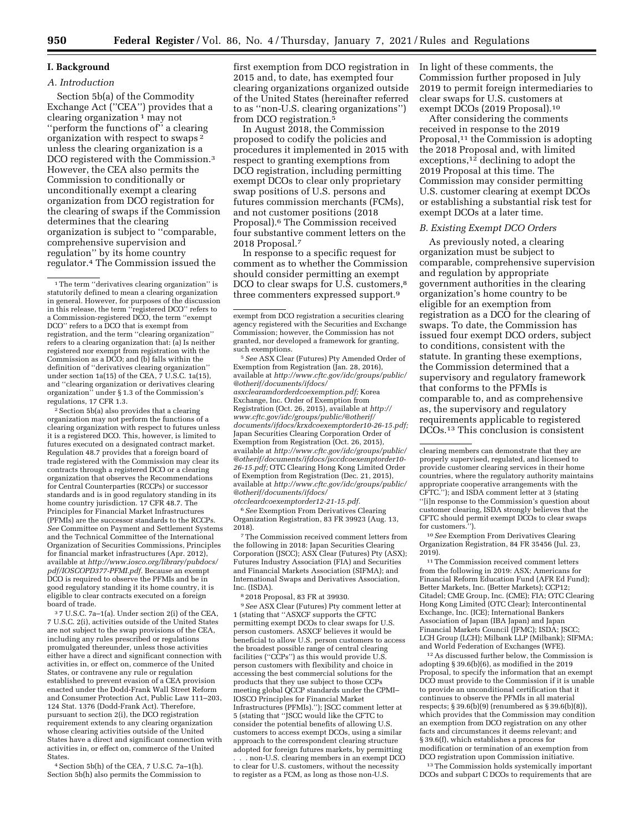# **I. Background**

*A. Introduction* 

Section 5b(a) of the Commodity Exchange Act (''CEA'') provides that a clearing organization 1 may not ''perform the functions of'' a clearing organization with respect to swaps 2 unless the clearing organization is a DCO registered with the Commission.3 However, the CEA also permits the Commission to conditionally or unconditionally exempt a clearing organization from DCO registration for the clearing of swaps if the Commission determines that the clearing organization is subject to ''comparable, comprehensive supervision and regulation'' by its home country regulator.4 The Commission issued the

2Section 5b(a) also provides that a clearing organization may not perform the functions of a clearing organization with respect to futures unless it is a registered DCO. This, however, is limited to futures executed on a designated contract market. Regulation 48.7 provides that a foreign board of trade registered with the Commission may clear its contracts through a registered DCO or a clearing organization that observes the Recommendations for Central Counterparties (RCCPs) or successor standards and is in good regulatory standing in its home country jurisdiction. 17 CFR 48.7. The Principles for Financial Market Infrastructures (PFMIs) are the successor standards to the RCCPs. *See* Committee on Payment and Settlement Systems and the Technical Committee of the International Organization of Securities Commissions, Principles for financial market infrastructures (Apr. 2012), available at *[http://www.iosco.org/library/pubdocs/](http://www.iosco.org/library/pubdocs/pdf/IOSCOPD377-PFMI.pdf) [pdf/IOSCOPD377-PFMI.pdf.](http://www.iosco.org/library/pubdocs/pdf/IOSCOPD377-PFMI.pdf)* Because an exempt pat/lOSCOPD3774 FRAG. 2000. good regulatory standing it its home country, it is eligible to clear contracts executed on a foreign board of trade.

3 7 U.S.C. 7a–1(a). Under section 2(i) of the CEA, 7 U.S.C. 2(i), activities outside of the United States are not subject to the swap provisions of the CEA, including any rules prescribed or regulations promulgated thereunder, unless those activities either have a direct and significant connection with activities in, or effect on, commerce of the United States, or contravene any rule or regulation established to prevent evasion of a CEA provision enacted under the Dodd-Frank Wall Street Reform and Consumer Protection Act, Public Law 111–203, 124 Stat. 1376 (Dodd-Frank Act). Therefore, pursuant to section 2(i), the DCO registration requirement extends to any clearing organization whose clearing activities outside of the United States have a direct and significant connection with activities in, or effect on, commerce of the United States.

4Section 5b(h) of the CEA, 7 U.S.C. 7a–1(h). Section 5b(h) also permits the Commission to

first exemption from DCO registration in 2015 and, to date, has exempted four clearing organizations organized outside of the United States (hereinafter referred to as ''non-U.S. clearing organizations'') from DCO registration.5

In August 2018, the Commission proposed to codify the policies and procedures it implemented in 2015 with respect to granting exemptions from DCO registration, including permitting exempt DCOs to clear only proprietary swap positions of U.S. persons and futures commission merchants (FCMs), and not customer positions (2018 Proposal).6 The Commission received four substantive comment letters on the 2018 Proposal.7

In response to a specific request for comment as to whether the Commission should consider permitting an exempt DCO to clear swaps for U.S. customers,<sup>8</sup> three commenters expressed support.9

5*See* ASX Clear (Futures) Pty Amended Order of Exemption from Registration (Jan. 28, 2016), available at *[http://www.cftc.gov/idc/groups/public/](http://www.cftc.gov/idc/groups/public/@otherif/documents/ifdocs/asxclearamdorderdcoexemption.pdf)  [@otherif/documents/ifdocs/](http://www.cftc.gov/idc/groups/public/@otherif/documents/ifdocs/asxclearamdorderdcoexemption.pdf)  [asxclearamdorderdcoexemption.pdf;](http://www.cftc.gov/idc/groups/public/@otherif/documents/ifdocs/asxclearamdorderdcoexemption.pdf)* Korea Exchange, Inc. Order of Exemption from Registration (Oct. 26, 2015), available at *[http://](http://www.cftc.gov/idc/groups/public/@otherif/documents/ifdocs/krxdcoexemptorder10-26-15.pdf) [www.cftc.gov/idc/groups/public/@otherif/](http://www.cftc.gov/idc/groups/public/@otherif/documents/ifdocs/krxdcoexemptorder10-26-15.pdf)  [documents/ifdocs/krxdcoexemptorder10-26-15.pdf;](http://www.cftc.gov/idc/groups/public/@otherif/documents/ifdocs/krxdcoexemptorder10-26-15.pdf)*  Japan Securities Clearing Corporation Order of Exemption from Registration (Oct. 26, 2015), available at *[http://www.cftc.gov/idc/groups/public/](http://www.cftc.gov/idc/groups/public/@otherif/documents/ifdocs/jsccdcoexemptorder10-26-15.pdf)  [@otherif/documents/ifdocs/jsccdcoexemptorder10-](http://www.cftc.gov/idc/groups/public/@otherif/documents/ifdocs/jsccdcoexemptorder10-26-15.pdf)  [26-15.pdf;](http://www.cftc.gov/idc/groups/public/@otherif/documents/ifdocs/jsccdcoexemptorder10-26-15.pdf)* OTC Clearing Hong Kong Limited Order of Exemption from Registration (Dec. 21, 2015), available at *[http://www.cftc.gov/idc/groups/public/](http://www.cftc.gov/idc/groups/public/@otherif/documents/ifdocs/otccleardcoexemptorder12-21-15.pdf)  [@otherif/documents/ifdocs/](http://www.cftc.gov/idc/groups/public/@otherif/documents/ifdocs/otccleardcoexemptorder12-21-15.pdf)  [otccleardcoexemptorder12-21-15.pdf.](http://www.cftc.gov/idc/groups/public/@otherif/documents/ifdocs/otccleardcoexemptorder12-21-15.pdf)* 

6*See* Exemption From Derivatives Clearing Organization Registration, 83 FR 39923 (Aug. 13, 2018).

7The Commission received comment letters from the following in 2018: Japan Securities Clearing Corporation (JSCC); ASX Clear (Futures) Pty (ASX); Futures Industry Association (FIA) and Securities and Financial Markets Association (SIFMA); and International Swaps and Derivatives Association, Inc. (ISDA).

8 2018 Proposal, 83 FR at 39930.

9*See* ASX Clear (Futures) Pty comment letter at 1 (stating that ''ASXCF supports the CFTC permitting exempt DCOs to clear swaps for U.S. person customers. ASXCF believes it would be beneficial to allow U.S. person customers to access the broadest possible range of central clearing facilities (''CCPs'') as this would provide U.S. person customers with flexibility and choice in accessing the best commercial solutions for the products that they use subject to those CCPs meeting global QCCP standards under the CPMI– IOSCO Principles for Financial Market Infrastructures (PFMIs).''); JSCC comment letter at 5 (stating that ''JSCC would like the CFTC to consider the potential benefits of allowing U.S. customers to access exempt DCOs, using a similar approach to the correspondent clearing structure adopted for foreign futures markets, by permitting

. . . non-U.S. clearing members in an exempt DCO to clear for U.S. customers, without the necessity to register as a FCM, as long as those non-U.S.

In light of these comments, the Commission further proposed in July 2019 to permit foreign intermediaries to clear swaps for U.S. customers at exempt DCOs (2019 Proposal).10

After considering the comments received in response to the 2019 Proposal,<sup>11</sup> the Commission is adopting the 2018 Proposal and, with limited exceptions,<sup>12</sup> declining to adopt the 2019 Proposal at this time. The Commission may consider permitting U.S. customer clearing at exempt DCOs or establishing a substantial risk test for exempt DCOs at a later time.

#### *B. Existing Exempt DCO Orders*

As previously noted, a clearing organization must be subject to comparable, comprehensive supervision and regulation by appropriate government authorities in the clearing organization's home country to be eligible for an exemption from registration as a DCO for the clearing of swaps. To date, the Commission has issued four exempt DCO orders, subject to conditions, consistent with the statute. In granting these exemptions, the Commission determined that a supervisory and regulatory framework that conforms to the PFMIs is comparable to, and as comprehensive as, the supervisory and regulatory requirements applicable to registered DCOs.13 This conclusion is consistent

10*See* Exemption From Derivatives Clearing Organization Registration, 84 FR 35456 (Jul. 23, 2019).

 $^{\rm 11}\!$  The Commission received comment letters from the following in 2019: ASX; Americans for Financial Reform Education Fund (AFR Ed Fund); Better Markets, Inc. (Better Markets); CCP12; Citadel; CME Group, Inc. (CME); FIA; OTC Clearing Hong Kong Limited (OTC Clear); Intercontinental Exchange, Inc. (ICE); International Bankers Association of Japan (IBA Japan) and Japan Financial Markets Council (JFMC); ISDA; JSCC; LCH Group (LCH); Milbank LLP (Milbank); SIFMA; and World Federation of Exchanges (WFE).

12As discussed further below, the Commission is adopting § 39.6(b)(6), as modified in the 2019 Proposal, to specify the information that an exempt DCO must provide to the Commission if it is unable to provide an unconditional certification that it continues to observe the PFMIs in all material respects; § 39.6(b)(9) (renumbered as § 39.6(b)(8)), which provides that the Commission may condition an exemption from DCO registration on any other facts and circumstances it deems relevant; and § 39.6(f), which establishes a process for modification or termination of an exemption from DCO registration upon Commission initiative.

13The Commission holds systemically important DCOs and subpart C DCOs to requirements that are

 $^{\rm 1}\!$  The term ''derivatives clearing organization'' is statutorily defined to mean a clearing organization in general. However, for purposes of the discussion in this release, the term ''registered DCO'' refers to a Commission-registered DCO, the term ''exempt DCO'' refers to a DCO that is exempt from registration, and the term ''clearing organization'' refers to a clearing organization that: (a) Is neither registered nor exempt from registration with the Commission as a DCO; and (b) falls within the definition of ''derivatives clearing organization'' under section 1a(15) of the CEA, 7 U.S.C. 1a(15), and ''clearing organization or derivatives clearing organization'' under § 1.3 of the Commission's regulations, 17 CFR 1.3.

exempt from DCO registration a securities clearing agency registered with the Securities and Exchange Commission; however, the Commission has not granted, nor developed a framework for granting, such exemptions.

clearing members can demonstrate that they are properly supervised, regulated, and licensed to provide customer clearing services in their home countries, where the regulatory authority maintains appropriate cooperative arrangements with the CFTC.''); and ISDA comment letter at 3 (stating ''[i]n response to the Commission's question about customer clearing, ISDA strongly believes that the CFTC should permit exempt DCOs to clear swaps for customers.'').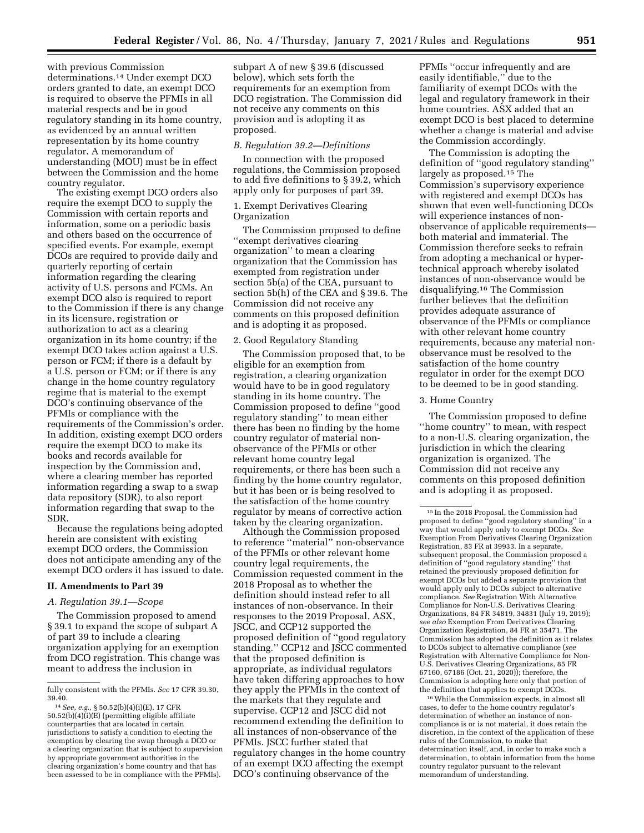with previous Commission determinations.14 Under exempt DCO orders granted to date, an exempt DCO is required to observe the PFMIs in all material respects and be in good regulatory standing in its home country, as evidenced by an annual written representation by its home country regulator. A memorandum of understanding (MOU) must be in effect between the Commission and the home country regulator.

The existing exempt DCO orders also require the exempt DCO to supply the Commission with certain reports and information, some on a periodic basis and others based on the occurrence of specified events. For example, exempt DCOs are required to provide daily and quarterly reporting of certain information regarding the clearing activity of U.S. persons and FCMs. An exempt DCO also is required to report to the Commission if there is any change in its licensure, registration or authorization to act as a clearing organization in its home country; if the exempt DCO takes action against a U.S. person or FCM; if there is a default by a U.S. person or FCM; or if there is any change in the home country regulatory regime that is material to the exempt DCO's continuing observance of the PFMIs or compliance with the requirements of the Commission's order. In addition, existing exempt DCO orders require the exempt DCO to make its books and records available for inspection by the Commission and, where a clearing member has reported information regarding a swap to a swap data repository (SDR), to also report information regarding that swap to the SDR.

Because the regulations being adopted herein are consistent with existing exempt DCO orders, the Commission does not anticipate amending any of the exempt DCO orders it has issued to date.

#### **II. Amendments to Part 39**

#### *A. Regulation 39.1—Scope*

The Commission proposed to amend § 39.1 to expand the scope of subpart A of part 39 to include a clearing organization applying for an exemption from DCO registration. This change was meant to address the inclusion in

subpart A of new § 39.6 (discussed below), which sets forth the requirements for an exemption from DCO registration. The Commission did not receive any comments on this provision and is adopting it as proposed.

#### *B. Regulation 39.2—Definitions*

In connection with the proposed regulations, the Commission proposed to add five definitions to § 39.2, which apply only for purposes of part 39.

# 1. Exempt Derivatives Clearing **Organization**

The Commission proposed to define ''exempt derivatives clearing organization'' to mean a clearing organization that the Commission has exempted from registration under section 5b(a) of the CEA, pursuant to section 5b(h) of the CEA and § 39.6. The Commission did not receive any comments on this proposed definition and is adopting it as proposed.

#### 2. Good Regulatory Standing

The Commission proposed that, to be eligible for an exemption from registration, a clearing organization would have to be in good regulatory standing in its home country. The Commission proposed to define ''good regulatory standing'' to mean either there has been no finding by the home country regulator of material nonobservance of the PFMIs or other relevant home country legal requirements, or there has been such a finding by the home country regulator, but it has been or is being resolved to the satisfaction of the home country regulator by means of corrective action taken by the clearing organization.

Although the Commission proposed to reference ''material'' non-observance of the PFMIs or other relevant home country legal requirements, the Commission requested comment in the 2018 Proposal as to whether the definition should instead refer to all instances of non-observance. In their responses to the 2019 Proposal, ASX, JSCC, and CCP12 supported the proposed definition of ''good regulatory standing.'' CCP12 and JSCC commented that the proposed definition is appropriate, as individual regulators have taken differing approaches to how they apply the PFMIs in the context of the markets that they regulate and supervise. CCP12 and JSCC did not recommend extending the definition to all instances of non-observance of the PFMIs. JSCC further stated that regulatory changes in the home country of an exempt DCO affecting the exempt DCO's continuing observance of the

PFMIs ''occur infrequently and are easily identifiable,'' due to the familiarity of exempt DCOs with the legal and regulatory framework in their home countries. ASX added that an exempt DCO is best placed to determine whether a change is material and advise the Commission accordingly.

The Commission is adopting the definition of ''good regulatory standing'' largely as proposed.15 The Commission's supervisory experience with registered and exempt DCOs has shown that even well-functioning DCOs will experience instances of nonobservance of applicable requirements both material and immaterial. The Commission therefore seeks to refrain from adopting a mechanical or hypertechnical approach whereby isolated instances of non-observance would be disqualifying.16 The Commission further believes that the definition provides adequate assurance of observance of the PFMIs or compliance with other relevant home country requirements, because any material nonobservance must be resolved to the satisfaction of the home country regulator in order for the exempt DCO to be deemed to be in good standing.

# 3. Home Country

The Commission proposed to define ''home country'' to mean, with respect to a non-U.S. clearing organization, the jurisdiction in which the clearing organization is organized. The Commission did not receive any comments on this proposed definition and is adopting it as proposed.

16While the Commission expects, in almost all cases, to defer to the home country regulator's determination of whether an instance of noncompliance is or is not material, it does retain the discretion, in the context of the application of these rules of the Commission, to make that determination itself, and, in order to make such a determination, to obtain information from the home country regulator pursuant to the relevant memorandum of understanding.

fully consistent with the PFMIs. *See* 17 CFR 39.30, 39.40.

<sup>14</sup>*See, e.g.,* § 50.52(b)(4)(i)(E), 17 CFR 50.52(b)(4)(i)(E) (permitting eligible affiliate counterparties that are located in certain jurisdictions to satisfy a condition to electing the exemption by clearing the swap through a DCO or a clearing organization that is subject to supervision by appropriate government authorities in the clearing organization's home country and that has been assessed to be in compliance with the PFMIs).

<sup>15</sup> In the 2018 Proposal, the Commission had proposed to define ''good regulatory standing'' in a way that would apply only to exempt DCOs. *See*  Exemption From Derivatives Clearing Organization Registration, 83 FR at 39933. In a separate, subsequent proposal, the Commission proposed a definition of ''good regulatory standing'' that retained the previously proposed definition for exempt DCOs but added a separate provision that would apply only to DCOs subject to alternative compliance. *See* Registration With Alternative Compliance for Non-U.S. Derivatives Clearing Organizations, 84 FR 34819, 34831 (July 19, 2019); *see also* Exemption From Derivatives Clearing Organization Registration, 84 FR at 35471. The Commission has adopted the definition as it relates to DCOs subject to alternative compliance (*see*  Registration with Alternative Compliance for Non-U.S. Derivatives Clearing Organizations, 85 FR 67160, 67186 (Oct. 21, 2020)); therefore, the Commission is adopting here only that portion of the definition that applies to exempt DCOs.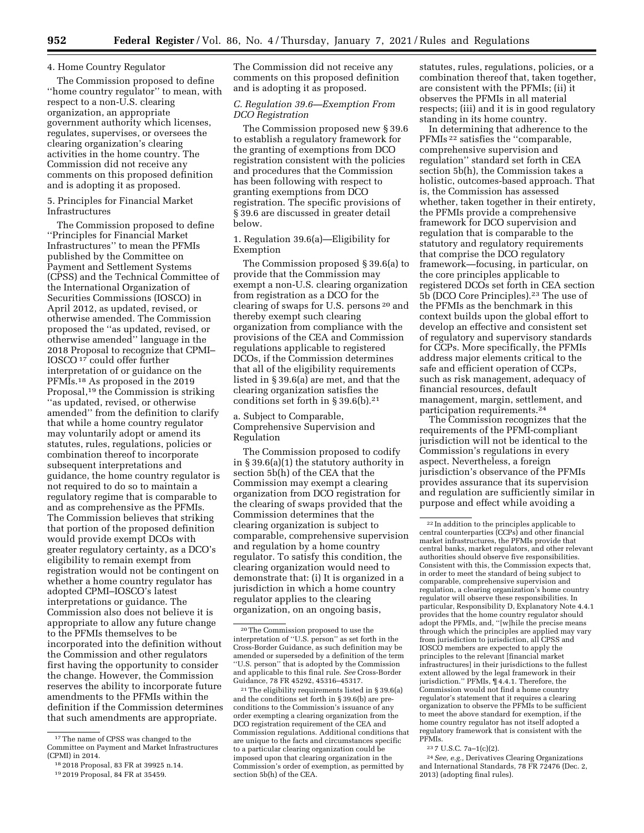#### 4. Home Country Regulator

The Commission proposed to define ''home country regulator'' to mean, with respect to a non-U.S. clearing organization, an appropriate government authority which licenses, regulates, supervises, or oversees the clearing organization's clearing activities in the home country. The Commission did not receive any comments on this proposed definition and is adopting it as proposed.

# 5. Principles for Financial Market Infrastructures

The Commission proposed to define ''Principles for Financial Market Infrastructures'' to mean the PFMIs published by the Committee on Payment and Settlement Systems (CPSS) and the Technical Committee of the International Organization of Securities Commissions (IOSCO) in April 2012, as updated, revised, or otherwise amended. The Commission proposed the ''as updated, revised, or otherwise amended'' language in the 2018 Proposal to recognize that CPMI– IOSCO 17 could offer further interpretation of or guidance on the PFMIs.18 As proposed in the 2019 Proposal,19 the Commission is striking ''as updated, revised, or otherwise amended'' from the definition to clarify that while a home country regulator may voluntarily adopt or amend its statutes, rules, regulations, policies or combination thereof to incorporate subsequent interpretations and guidance, the home country regulator is not required to do so to maintain a regulatory regime that is comparable to and as comprehensive as the PFMIs. The Commission believes that striking that portion of the proposed definition would provide exempt DCOs with greater regulatory certainty, as a DCO's eligibility to remain exempt from registration would not be contingent on whether a home country regulator has adopted CPMI–IOSCO's latest interpretations or guidance. The Commission also does not believe it is appropriate to allow any future change to the PFMIs themselves to be incorporated into the definition without the Commission and other regulators first having the opportunity to consider the change. However, the Commission reserves the ability to incorporate future amendments to the PFMIs within the definition if the Commission determines that such amendments are appropriate.

The Commission did not receive any comments on this proposed definition and is adopting it as proposed.

# *C. Regulation 39.6—Exemption From DCO Registration*

The Commission proposed new § 39.6 to establish a regulatory framework for the granting of exemptions from DCO registration consistent with the policies and procedures that the Commission has been following with respect to granting exemptions from DCO registration. The specific provisions of § 39.6 are discussed in greater detail below.

1. Regulation 39.6(a)—Eligibility for Exemption

The Commission proposed § 39.6(a) to provide that the Commission may exempt a non-U.S. clearing organization from registration as a DCO for the clearing of swaps for U.S. persons 20 and thereby exempt such clearing organization from compliance with the provisions of the CEA and Commission regulations applicable to registered DCOs, if the Commission determines that all of the eligibility requirements listed in § 39.6(a) are met, and that the clearing organization satisfies the conditions set forth in § 39.6(b).21

a. Subject to Comparable, Comprehensive Supervision and Regulation

The Commission proposed to codify in § 39.6(a)(1) the statutory authority in section 5b(h) of the CEA that the Commission may exempt a clearing organization from DCO registration for the clearing of swaps provided that the Commission determines that the clearing organization is subject to comparable, comprehensive supervision and regulation by a home country regulator. To satisfy this condition, the clearing organization would need to demonstrate that: (i) It is organized in a jurisdiction in which a home country regulator applies to the clearing organization, on an ongoing basis,

statutes, rules, regulations, policies, or a combination thereof that, taken together, are consistent with the PFMIs; (ii) it observes the PFMIs in all material respects; (iii) and it is in good regulatory standing in its home country.

In determining that adherence to the PFMIs 22 satisfies the ''comparable, comprehensive supervision and regulation'' standard set forth in CEA section 5b(h), the Commission takes a holistic, outcomes-based approach. That is, the Commission has assessed whether, taken together in their entirety, the PFMIs provide a comprehensive framework for DCO supervision and regulation that is comparable to the statutory and regulatory requirements that comprise the DCO regulatory framework—focusing, in particular, on the core principles applicable to registered DCOs set forth in CEA section 5b (DCO Core Principles).23 The use of the PFMIs as the benchmark in this context builds upon the global effort to develop an effective and consistent set of regulatory and supervisory standards for CCPs. More specifically, the PFMIs address major elements critical to the safe and efficient operation of CCPs, such as risk management, adequacy of financial resources, default management, margin, settlement, and participation requirements.24

The Commission recognizes that the requirements of the PFMI-compliant jurisdiction will not be identical to the Commission's regulations in every aspect. Nevertheless, a foreign jurisdiction's observance of the PFMIs provides assurance that its supervision and regulation are sufficiently similar in purpose and effect while avoiding a

23 7 U.S.C. 7a–1(c)(2).

24*See, e.g.,* Derivatives Clearing Organizations and International Standards, 78 FR 72476 (Dec. 2, 2013) (adopting final rules).

<sup>&</sup>lt;sup>17</sup>The name of CPSS was changed to the Committee on Payment and Market Infrastructures (CPMI) in 2014.

<sup>18</sup> 2018 Proposal, 83 FR at 39925 n.14.

<sup>19</sup> 2019 Proposal, 84 FR at 35459.

<sup>20</sup>The Commission proposed to use the interpretation of ''U.S. person'' as set forth in the Cross-Border Guidance, as such definition may be amended or superseded by a definition of the term ''U.S. person'' that is adopted by the Commission and applicable to this final rule. *See* Cross-Border Guidance, 78 FR 45292, 45316–45317.

<sup>21</sup>The eligibility requirements listed in § 39.6(a) and the conditions set forth in § 39.6(b) are preconditions to the Commission's issuance of any order exempting a clearing organization from the DCO registration requirement of the CEA and Commission regulations. Additional conditions that are unique to the facts and circumstances specific to a particular clearing organization could be imposed upon that clearing organization in the Commission's order of exemption, as permitted by section 5b(h) of the CEA.

<sup>22</sup> In addition to the principles applicable to central counterparties (CCPs) and other financial market infrastructures, the PFMIs provide that central banks, market regulators, and other relevant authorities should observe five responsibilities. Consistent with this, the Commission expects that, in order to meet the standard of being subject to comparable, comprehensive supervision and regulation, a clearing organization's home country regulator will observe these responsibilities. In particular, Responsibility D, Explanatory Note 4.4.1 provides that the home country regulator should adopt the PFMIs, and, ''[w]hile the precise means through which the principles are applied may vary from jurisdiction to jurisdiction, all CPSS and IOSCO members are expected to apply the principles to the relevant [financial market infrastructures] in their jurisdictions to the fullest extent allowed by the legal framework in their jurisdiction.'' PFMIs, ¶ 4.4.1. Therefore, the Commission would not find a home country regulator's statement that it requires a clearing organization to observe the PFMIs to be sufficient to meet the above standard for exemption, if the home country regulator has not itself adopted a regulatory framework that is consistent with the PFMIs.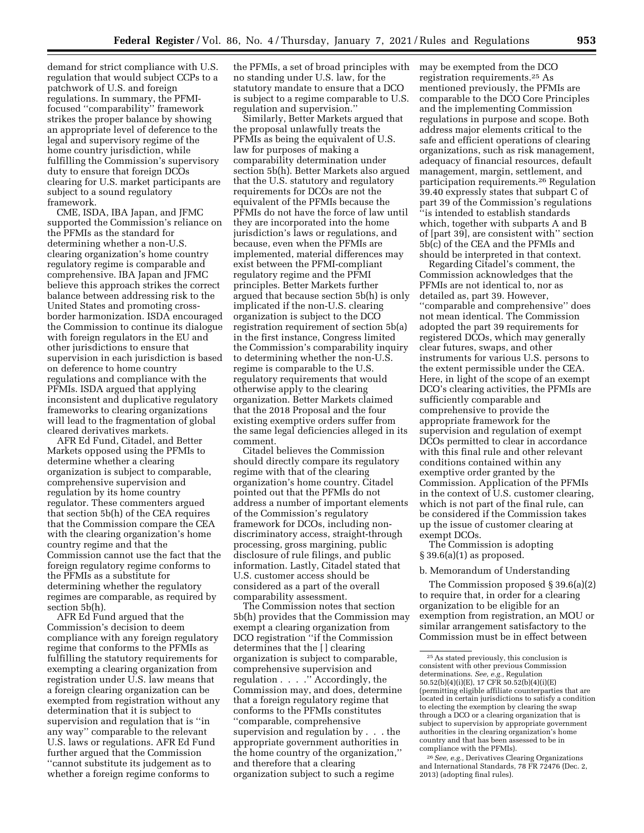demand for strict compliance with U.S. regulation that would subject CCPs to a patchwork of U.S. and foreign regulations. In summary, the PFMIfocused ''comparability'' framework strikes the proper balance by showing an appropriate level of deference to the legal and supervisory regime of the home country jurisdiction, while fulfilling the Commission's supervisory duty to ensure that foreign DCOs clearing for U.S. market participants are subject to a sound regulatory framework.

CME, ISDA, IBA Japan, and JFMC supported the Commission's reliance on the PFMIs as the standard for determining whether a non-U.S. clearing organization's home country regulatory regime is comparable and comprehensive. IBA Japan and JFMC believe this approach strikes the correct balance between addressing risk to the United States and promoting crossborder harmonization. ISDA encouraged the Commission to continue its dialogue with foreign regulators in the EU and other jurisdictions to ensure that supervision in each jurisdiction is based on deference to home country regulations and compliance with the PFMIs. ISDA argued that applying inconsistent and duplicative regulatory frameworks to clearing organizations will lead to the fragmentation of global cleared derivatives markets.

AFR Ed Fund, Citadel, and Better Markets opposed using the PFMIs to determine whether a clearing organization is subject to comparable, comprehensive supervision and regulation by its home country regulator. These commenters argued that section 5b(h) of the CEA requires that the Commission compare the CEA with the clearing organization's home country regime and that the Commission cannot use the fact that the foreign regulatory regime conforms to the PFMIs as a substitute for determining whether the regulatory regimes are comparable, as required by section 5b(h).

AFR Ed Fund argued that the Commission's decision to deem compliance with any foreign regulatory regime that conforms to the PFMIs as fulfilling the statutory requirements for exempting a clearing organization from registration under U.S. law means that a foreign clearing organization can be exempted from registration without any determination that it is subject to supervision and regulation that is ''in any way'' comparable to the relevant U.S. laws or regulations. AFR Ed Fund further argued that the Commission ''cannot substitute its judgement as to whether a foreign regime conforms to

the PFMIs, a set of broad principles with no standing under U.S. law, for the statutory mandate to ensure that a DCO is subject to a regime comparable to U.S. regulation and supervision.''

Similarly, Better Markets argued that the proposal unlawfully treats the PFMIs as being the equivalent of U.S. law for purposes of making a comparability determination under section 5b(h). Better Markets also argued that the U.S. statutory and regulatory requirements for DCOs are not the equivalent of the PFMIs because the PFMIs do not have the force of law until they are incorporated into the home jurisdiction's laws or regulations, and because, even when the PFMIs are implemented, material differences may exist between the PFMI-compliant regulatory regime and the PFMI principles. Better Markets further argued that because section 5b(h) is only implicated if the non-U.S. clearing organization is subject to the DCO registration requirement of section 5b(a) in the first instance, Congress limited the Commission's comparability inquiry to determining whether the non-U.S. regime is comparable to the U.S. regulatory requirements that would otherwise apply to the clearing organization. Better Markets claimed that the 2018 Proposal and the four existing exemptive orders suffer from the same legal deficiencies alleged in its comment.

Citadel believes the Commission should directly compare its regulatory regime with that of the clearing organization's home country. Citadel pointed out that the PFMIs do not address a number of important elements of the Commission's regulatory framework for DCOs, including nondiscriminatory access, straight-through processing, gross margining, public disclosure of rule filings, and public information. Lastly, Citadel stated that U.S. customer access should be considered as a part of the overall comparability assessment.

The Commission notes that section 5b(h) provides that the Commission may exempt a clearing organization from DCO registration ''if the Commission determines that the [ ] clearing organization is subject to comparable, comprehensive supervision and regulation . . . .'' Accordingly, the Commission may, and does, determine that a foreign regulatory regime that conforms to the PFMIs constitutes ''comparable, comprehensive supervision and regulation by . . . the appropriate government authorities in the home country of the organization,'' and therefore that a clearing organization subject to such a regime

may be exempted from the DCO registration requirements.25 As mentioned previously, the PFMIs are comparable to the DCO Core Principles and the implementing Commission regulations in purpose and scope. Both address major elements critical to the safe and efficient operations of clearing organizations, such as risk management, adequacy of financial resources, default management, margin, settlement, and participation requirements.26 Regulation 39.40 expressly states that subpart C of part 39 of the Commission's regulations ''is intended to establish standards which, together with subparts A and B of [part 39], are consistent with'' section 5b(c) of the CEA and the PFMIs and should be interpreted in that context.

Regarding Citadel's comment, the Commission acknowledges that the PFMIs are not identical to, nor as detailed as, part 39. However, ''comparable and comprehensive'' does not mean identical. The Commission adopted the part 39 requirements for registered DCOs, which may generally clear futures, swaps, and other instruments for various U.S. persons to the extent permissible under the CEA. Here, in light of the scope of an exempt DCO's clearing activities, the PFMIs are sufficiently comparable and comprehensive to provide the appropriate framework for the supervision and regulation of exempt DCOs permitted to clear in accordance with this final rule and other relevant conditions contained within any exemptive order granted by the Commission. Application of the PFMIs in the context of U.S. customer clearing, which is not part of the final rule, can be considered if the Commission takes up the issue of customer clearing at exempt DCOs.

The Commission is adopting § 39.6(a)(1) as proposed.

# b. Memorandum of Understanding

The Commission proposed § 39.6(a)(2) to require that, in order for a clearing organization to be eligible for an exemption from registration, an MOU or similar arrangement satisfactory to the Commission must be in effect between

<sup>25</sup>As stated previously, this conclusion is consistent with other previous Commission determinations. *See, e.g.,* Regulation<br>50.52(b)(4)(i)(E), 17 CFR 50.52(b)(4)(i)(E) (permitting eligible affiliate counterparties that are located in certain jurisdictions to satisfy a condition to electing the exemption by clearing the swap through a DCO or a clearing organization that is subject to supervision by appropriate government authorities in the clearing organization's home country and that has been assessed to be in compliance with the PFMIs).

<sup>26</sup>*See, e.g.,* Derivatives Clearing Organizations and International Standards, 78 FR 72476 (Dec. 2, 2013) (adopting final rules).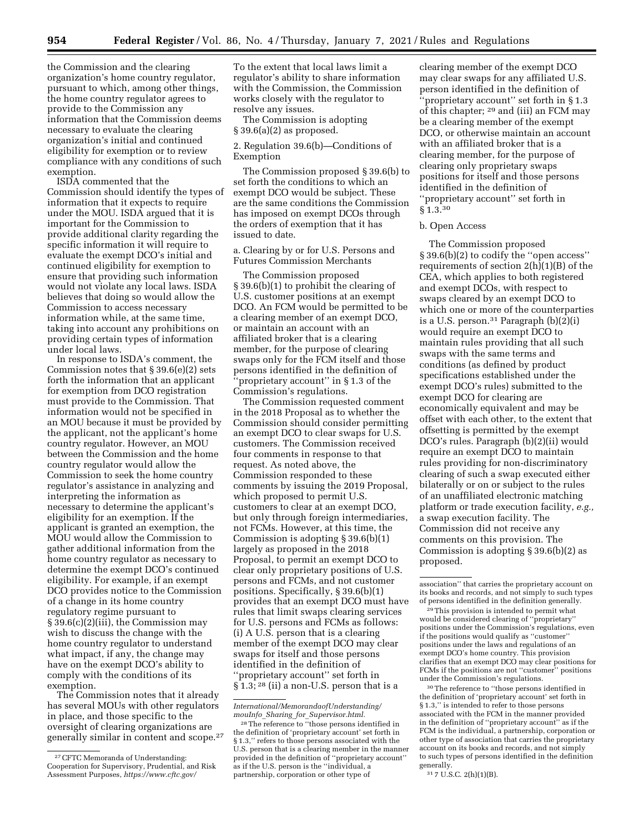the Commission and the clearing organization's home country regulator, pursuant to which, among other things, the home country regulator agrees to provide to the Commission any information that the Commission deems necessary to evaluate the clearing organization's initial and continued eligibility for exemption or to review compliance with any conditions of such exemption.

ISDA commented that the Commission should identify the types of information that it expects to require under the MOU. ISDA argued that it is important for the Commission to provide additional clarity regarding the specific information it will require to evaluate the exempt DCO's initial and continued eligibility for exemption to ensure that providing such information would not violate any local laws. ISDA believes that doing so would allow the Commission to access necessary information while, at the same time, taking into account any prohibitions on providing certain types of information under local laws.

In response to ISDA's comment, the Commission notes that § 39.6(e)(2) sets forth the information that an applicant for exemption from DCO registration must provide to the Commission. That information would not be specified in an MOU because it must be provided by the applicant, not the applicant's home country regulator. However, an MOU between the Commission and the home country regulator would allow the Commission to seek the home country regulator's assistance in analyzing and interpreting the information as necessary to determine the applicant's eligibility for an exemption. If the applicant is granted an exemption, the MOU would allow the Commission to gather additional information from the home country regulator as necessary to determine the exempt DCO's continued eligibility. For example, if an exempt DCO provides notice to the Commission of a change in its home country regulatory regime pursuant to § 39.6(c)(2)(iii), the Commission may wish to discuss the change with the home country regulator to understand what impact, if any, the change may have on the exempt DCO's ability to comply with the conditions of its exemption.

The Commission notes that it already has several MOUs with other regulators in place, and those specific to the oversight of clearing organizations are generally similar in content and scope.27 To the extent that local laws limit a regulator's ability to share information with the Commission, the Commission works closely with the regulator to resolve any issues.

The Commission is adopting  $§ 39.6(a)(2)$  as proposed.

2. Regulation 39.6(b)—Conditions of Exemption

The Commission proposed § 39.6(b) to set forth the conditions to which an exempt DCO would be subject. These are the same conditions the Commission has imposed on exempt DCOs through the orders of exemption that it has issued to date.

a. Clearing by or for U.S. Persons and Futures Commission Merchants

The Commission proposed § 39.6(b)(1) to prohibit the clearing of U.S. customer positions at an exempt DCO. An FCM would be permitted to be a clearing member of an exempt DCO, or maintain an account with an affiliated broker that is a clearing member, for the purpose of clearing swaps only for the FCM itself and those persons identified in the definition of ''proprietary account'' in § 1.3 of the Commission's regulations.

The Commission requested comment in the 2018 Proposal as to whether the Commission should consider permitting an exempt DCO to clear swaps for U.S. customers. The Commission received four comments in response to that request. As noted above, the Commission responded to these comments by issuing the 2019 Proposal, which proposed to permit U.S. customers to clear at an exempt DCO, but only through foreign intermediaries, not FCMs. However, at this time, the Commission is adopting § 39.6(b)(1) largely as proposed in the 2018 Proposal, to permit an exempt DCO to clear only proprietary positions of U.S. persons and FCMs, and not customer positions. Specifically, § 39.6(b)(1) provides that an exempt DCO must have rules that limit swaps clearing services for U.S. persons and FCMs as follows: (i) A U.S. person that is a clearing member of the exempt DCO may clear swaps for itself and those persons identified in the definition of ''proprietary account'' set forth in § 1.3; 28 (ii) a non-U.S. person that is a

*[International/MemorandaofUnderstanding/](https://www.cftc.gov/International/MemorandaofUnderstanding/mouInfo_Sharing_for_Supervisor.html)  mouInfo*\_*Sharing*\_*for*\_*[Supervisor.html.](https://www.cftc.gov/International/MemorandaofUnderstanding/mouInfo_Sharing_for_Supervisor.html)* 

clearing member of the exempt DCO may clear swaps for any affiliated U.S. person identified in the definition of 'proprietary account'' set forth in § 1.3 of this chapter; 29 and (iii) an FCM may be a clearing member of the exempt DCO, or otherwise maintain an account with an affiliated broker that is a clearing member, for the purpose of clearing only proprietary swaps positions for itself and those persons identified in the definition of ''proprietary account'' set forth in § 1.3.30

#### b. Open Access

The Commission proposed § 39.6(b)(2) to codify the ''open access'' requirements of section  $2(h)(1)(B)$  of the CEA, which applies to both registered and exempt DCOs, with respect to swaps cleared by an exempt DCO to which one or more of the counterparties is a U.S. person.31 Paragraph (b)(2)(i) would require an exempt DCO to maintain rules providing that all such swaps with the same terms and conditions (as defined by product specifications established under the exempt DCO's rules) submitted to the exempt DCO for clearing are economically equivalent and may be offset with each other, to the extent that offsetting is permitted by the exempt DCO's rules. Paragraph (b)(2)(ii) would require an exempt DCO to maintain rules providing for non-discriminatory clearing of such a swap executed either bilaterally or on or subject to the rules of an unaffiliated electronic matching platform or trade execution facility, *e.g.,*  a swap execution facility. The Commission did not receive any comments on this provision. The Commission is adopting § 39.6(b)(2) as proposed.

30The reference to ''those persons identified in the definition of 'proprietary account' set forth in § 1.3,'' is intended to refer to those persons associated with the FCM in the manner provided in the definition of ''proprietary account'' as if the FCM is the individual, a partnership, corporation or other type of association that carries the proprietary account on its books and records, and not simply to such types of persons identified in the definition generally.

31 7 U.S.C. 2(h)(1)(B).

<sup>27</sup>CFTC Memoranda of Understanding: Cooperation for Supervisory, Prudential, and Risk Assessment Purposes, *[https://www.cftc.gov/](https://www.cftc.gov/International/MemorandaofUnderstanding/mouInfo_Sharing_for_Supervisor.html)* 

<sup>28</sup>The reference to ''those persons identified in the definition of 'proprietary account' set forth in § 1.3,'' refers to those persons associated with the U.S. person that is a clearing member in the manner provided in the definition of ''proprietary account'' as if the U.S. person is the ''individual, a partnership, corporation or other type of

association'' that carries the proprietary account on its books and records, and not simply to such types of persons identified in the definition generally.

<sup>29</sup>This provision is intended to permit what would be considered clearing of ''proprietary'' positions under the Commission's regulations, even if the positions would qualify as ''customer'' positions under the laws and regulations of an exempt DCO's home country. This provision clarifies that an exempt DCO may clear positions for FCMs if the positions are not ''customer'' positions under the Commission's regulations.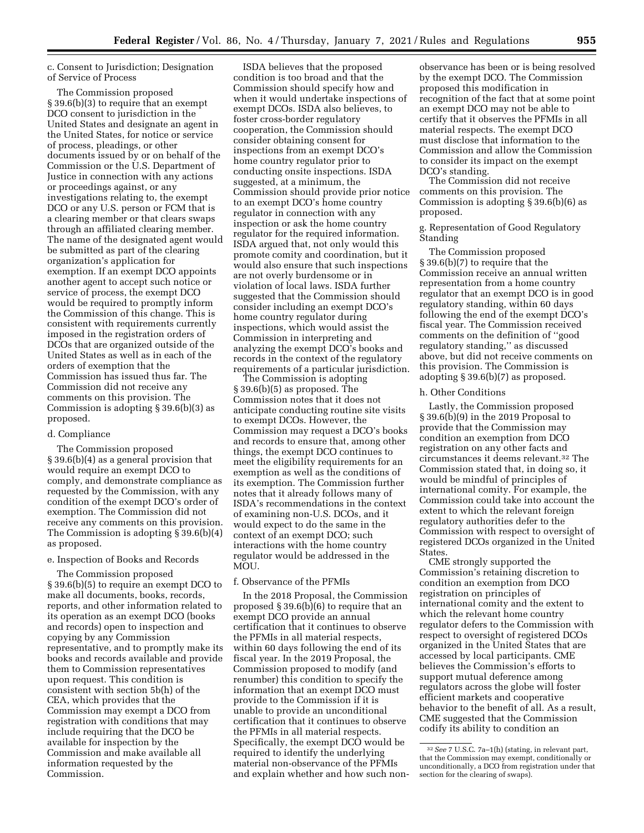c. Consent to Jurisdiction; Designation of Service of Process

The Commission proposed § 39.6(b)(3) to require that an exempt DCO consent to jurisdiction in the United States and designate an agent in the United States, for notice or service of process, pleadings, or other documents issued by or on behalf of the Commission or the U.S. Department of Justice in connection with any actions or proceedings against, or any investigations relating to, the exempt DCO or any U.S. person or FCM that is a clearing member or that clears swaps through an affiliated clearing member. The name of the designated agent would be submitted as part of the clearing organization's application for exemption. If an exempt DCO appoints another agent to accept such notice or service of process, the exempt DCO would be required to promptly inform the Commission of this change. This is consistent with requirements currently imposed in the registration orders of DCOs that are organized outside of the United States as well as in each of the orders of exemption that the Commission has issued thus far. The Commission did not receive any comments on this provision. The Commission is adopting § 39.6(b)(3) as proposed.

#### d. Compliance

The Commission proposed § 39.6(b)(4) as a general provision that would require an exempt DCO to comply, and demonstrate compliance as requested by the Commission, with any condition of the exempt DCO's order of exemption. The Commission did not receive any comments on this provision. The Commission is adopting § 39.6(b)(4) as proposed.

# e. Inspection of Books and Records

The Commission proposed § 39.6(b)(5) to require an exempt DCO to make all documents, books, records, reports, and other information related to its operation as an exempt DCO (books and records) open to inspection and copying by any Commission representative, and to promptly make its books and records available and provide them to Commission representatives upon request. This condition is consistent with section 5b(h) of the CEA, which provides that the Commission may exempt a DCO from registration with conditions that may include requiring that the DCO be available for inspection by the Commission and make available all information requested by the Commission.

ISDA believes that the proposed condition is too broad and that the Commission should specify how and when it would undertake inspections of exempt DCOs. ISDA also believes, to foster cross-border regulatory cooperation, the Commission should consider obtaining consent for inspections from an exempt DCO's home country regulator prior to conducting onsite inspections. ISDA suggested, at a minimum, the Commission should provide prior notice to an exempt DCO's home country regulator in connection with any inspection or ask the home country regulator for the required information. ISDA argued that, not only would this promote comity and coordination, but it would also ensure that such inspections are not overly burdensome or in violation of local laws. ISDA further suggested that the Commission should consider including an exempt DCO's home country regulator during inspections, which would assist the Commission in interpreting and analyzing the exempt DCO's books and records in the context of the regulatory requirements of a particular jurisdiction.

The Commission is adopting § 39.6(b)(5) as proposed. The Commission notes that it does not anticipate conducting routine site visits to exempt DCOs. However, the Commission may request a DCO's books and records to ensure that, among other things, the exempt DCO continues to meet the eligibility requirements for an exemption as well as the conditions of its exemption. The Commission further notes that it already follows many of ISDA's recommendations in the context of examining non-U.S. DCOs, and it would expect to do the same in the context of an exempt DCO; such interactions with the home country regulator would be addressed in the MOU.

# f. Observance of the PFMIs

In the 2018 Proposal, the Commission proposed  $\S 39.6(b)(6)$  to require that an exempt DCO provide an annual certification that it continues to observe the PFMIs in all material respects, within 60 days following the end of its fiscal year. In the 2019 Proposal, the Commission proposed to modify (and renumber) this condition to specify the information that an exempt DCO must provide to the Commission if it is unable to provide an unconditional certification that it continues to observe the PFMIs in all material respects. Specifically, the exempt DCO would be required to identify the underlying material non-observance of the PFMIs and explain whether and how such non-

observance has been or is being resolved by the exempt DCO. The Commission proposed this modification in recognition of the fact that at some point an exempt DCO may not be able to certify that it observes the PFMIs in all material respects. The exempt DCO must disclose that information to the Commission and allow the Commission to consider its impact on the exempt DCO's standing.

The Commission did not receive comments on this provision. The Commission is adopting § 39.6(b)(6) as proposed.

g. Representation of Good Regulatory Standing

The Commission proposed § 39.6(b)(7) to require that the Commission receive an annual written representation from a home country regulator that an exempt DCO is in good regulatory standing, within 60 days following the end of the exempt DCO's fiscal year. The Commission received comments on the definition of ''good regulatory standing,'' as discussed above, but did not receive comments on this provision. The Commission is adopting § 39.6(b)(7) as proposed.

#### h. Other Conditions

Lastly, the Commission proposed § 39.6(b)(9) in the 2019 Proposal to provide that the Commission may condition an exemption from DCO registration on any other facts and circumstances it deems relevant.32 The Commission stated that, in doing so, it would be mindful of principles of international comity. For example, the Commission could take into account the extent to which the relevant foreign regulatory authorities defer to the Commission with respect to oversight of registered DCOs organized in the United States.

CME strongly supported the Commission's retaining discretion to condition an exemption from DCO registration on principles of international comity and the extent to which the relevant home country regulator defers to the Commission with respect to oversight of registered DCOs organized in the United States that are accessed by local participants. CME believes the Commission's efforts to support mutual deference among regulators across the globe will foster efficient markets and cooperative behavior to the benefit of all. As a result, CME suggested that the Commission codify its ability to condition an

<sup>32</sup>*See* 7 U.S.C. 7a–1(h) (stating, in relevant part, that the Commission may exempt, conditionally or unconditionally, a DCO from registration under that section for the clearing of swaps).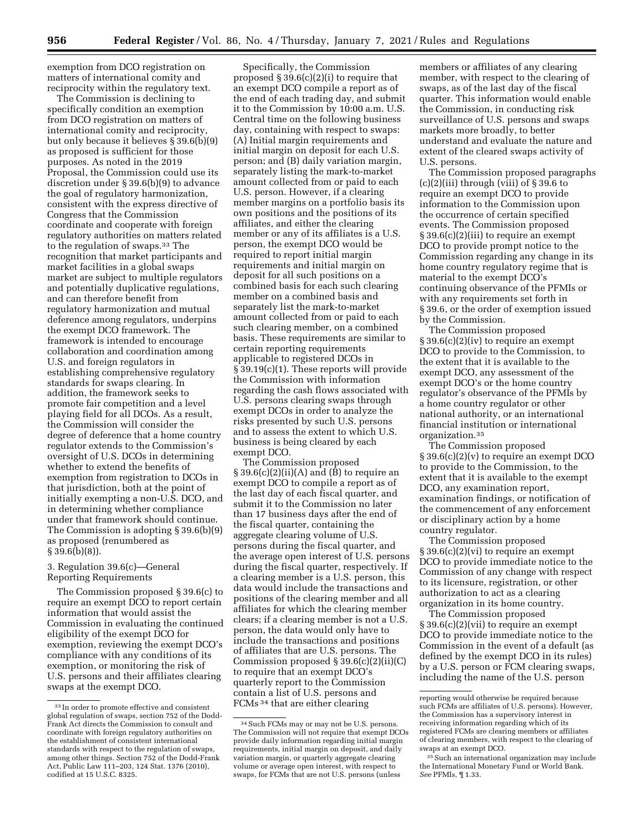exemption from DCO registration on matters of international comity and reciprocity within the regulatory text.

The Commission is declining to specifically condition an exemption from DCO registration on matters of international comity and reciprocity, but only because it believes § 39.6(b)(9) as proposed is sufficient for those purposes. As noted in the 2019 Proposal, the Commission could use its discretion under § 39.6(b)(9) to advance the goal of regulatory harmonization, consistent with the express directive of Congress that the Commission coordinate and cooperate with foreign regulatory authorities on matters related to the regulation of swaps.33 The recognition that market participants and market facilities in a global swaps market are subject to multiple regulators and potentially duplicative regulations, and can therefore benefit from regulatory harmonization and mutual deference among regulators, underpins the exempt DCO framework. The framework is intended to encourage collaboration and coordination among U.S. and foreign regulators in establishing comprehensive regulatory standards for swaps clearing. In addition, the framework seeks to promote fair competition and a level playing field for all DCOs. As a result, the Commission will consider the degree of deference that a home country regulator extends to the Commission's oversight of U.S. DCOs in determining whether to extend the benefits of exemption from registration to DCOs in that jurisdiction, both at the point of initially exempting a non-U.S. DCO, and in determining whether compliance under that framework should continue. The Commission is adopting § 39.6(b)(9) as proposed (renumbered as  $\S 39.6(b)(8)$ .

3. Regulation 39.6(c)—General Reporting Requirements

The Commission proposed § 39.6(c) to require an exempt DCO to report certain information that would assist the Commission in evaluating the continued eligibility of the exempt DCO for exemption, reviewing the exempt DCO's compliance with any conditions of its exemption, or monitoring the risk of U.S. persons and their affiliates clearing swaps at the exempt DCO.

Specifically, the Commission proposed § 39.6(c)(2)(i) to require that an exempt DCO compile a report as of the end of each trading day, and submit it to the Commission by 10:00 a.m. U.S. Central time on the following business day, containing with respect to swaps: (A) Initial margin requirements and initial margin on deposit for each U.S. person; and (B) daily variation margin, separately listing the mark-to-market amount collected from or paid to each U.S. person. However, if a clearing member margins on a portfolio basis its own positions and the positions of its affiliates, and either the clearing member or any of its affiliates is a U.S. person, the exempt DCO would be required to report initial margin requirements and initial margin on deposit for all such positions on a combined basis for each such clearing member on a combined basis and separately list the mark-to-market amount collected from or paid to each such clearing member, on a combined basis. These requirements are similar to certain reporting requirements applicable to registered DCOs in § 39.19(c)(1). These reports will provide the Commission with information regarding the cash flows associated with U.S. persons clearing swaps through exempt DCOs in order to analyze the risks presented by such U.S. persons and to assess the extent to which U.S. business is being cleared by each exempt DCO.

The Commission proposed  $\S 39.6(c)(2)(ii)(A)$  and (B) to require an exempt DCO to compile a report as of the last day of each fiscal quarter, and submit it to the Commission no later than 17 business days after the end of the fiscal quarter, containing the aggregate clearing volume of U.S. persons during the fiscal quarter, and the average open interest of U.S. persons during the fiscal quarter, respectively. If a clearing member is a U.S. person, this data would include the transactions and positions of the clearing member and all affiliates for which the clearing member clears; if a clearing member is not a U.S. person, the data would only have to include the transactions and positions of affiliates that are U.S. persons. The Commission proposed § 39.6(c)(2)(ii)(C) to require that an exempt DCO's quarterly report to the Commission contain a list of U.S. persons and FCMs 34 that are either clearing

members or affiliates of any clearing member, with respect to the clearing of swaps, as of the last day of the fiscal quarter. This information would enable the Commission, in conducting risk surveillance of U.S. persons and swaps markets more broadly, to better understand and evaluate the nature and extent of the cleared swaps activity of U.S. persons.

The Commission proposed paragraphs  $(c)(2)(iii)$  through (viii) of § 39.6 to require an exempt DCO to provide information to the Commission upon the occurrence of certain specified events. The Commission proposed § 39.6(c)(2)(iii) to require an exempt DCO to provide prompt notice to the Commission regarding any change in its home country regulatory regime that is material to the exempt DCO's continuing observance of the PFMIs or with any requirements set forth in § 39.6, or the order of exemption issued by the Commission.

The Commission proposed § 39.6(c)(2)(iv) to require an exempt DCO to provide to the Commission, to the extent that it is available to the exempt DCO, any assessment of the exempt DCO's or the home country regulator's observance of the PFMIs by a home country regulator or other national authority, or an international financial institution or international organization.35

The Commission proposed § 39.6(c)(2)(v) to require an exempt DCO to provide to the Commission, to the extent that it is available to the exempt DCO, any examination report, examination findings, or notification of the commencement of any enforcement or disciplinary action by a home country regulator.

The Commission proposed § 39.6(c)(2)(vi) to require an exempt DCO to provide immediate notice to the Commission of any change with respect to its licensure, registration, or other authorization to act as a clearing organization in its home country.

The Commission proposed § 39.6(c)(2)(vii) to require an exempt DCO to provide immediate notice to the Commission in the event of a default (as defined by the exempt DCO in its rules) by a U.S. person or FCM clearing swaps, including the name of the U.S. person

<sup>33</sup> In order to promote effective and consistent global regulation of swaps, section 752 of the Dodd-Frank Act directs the Commission to consult and coordinate with foreign regulatory authorities on the establishment of consistent international standards with respect to the regulation of swaps, among other things. Section 752 of the Dodd-Frank Act, Public Law 111–203, 124 Stat. 1376 (2010), codified at 15 U.S.C. 8325.

<sup>34</sup>Such FCMs may or may not be U.S. persons. The Commission will not require that exempt DCOs provide daily information regarding initial margin requirements, initial margin on deposit, and daily variation margin, or quarterly aggregate clearing volume or average open interest, with respect to swaps, for FCMs that are not U.S. persons (unless

reporting would otherwise be required because such FCMs are affiliates of U.S. persons). However, the Commission has a supervisory interest in receiving information regarding which of its registered FCMs are clearing members or affiliates of clearing members, with respect to the clearing of swaps at an exempt DCO.

<sup>35</sup>Such an international organization may include the International Monetary Fund or World Bank. *See* PFMIs, ¶ 1.33.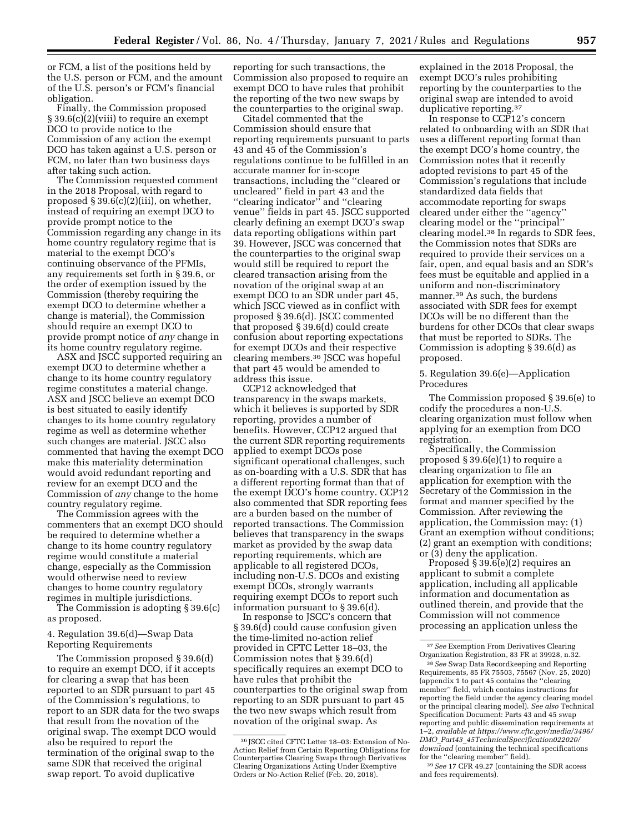or FCM, a list of the positions held by the U.S. person or FCM, and the amount of the U.S. person's or FCM's financial obligation.

Finally, the Commission proposed § 39.6(c)(2)(viii) to require an exempt DCO to provide notice to the Commission of any action the exempt DCO has taken against a U.S. person or FCM, no later than two business days after taking such action.

The Commission requested comment in the 2018 Proposal, with regard to proposed § 39.6(c)(2)(iii), on whether, instead of requiring an exempt DCO to provide prompt notice to the Commission regarding any change in its home country regulatory regime that is material to the exempt DCO's continuing observance of the PFMIs, any requirements set forth in § 39.6, or the order of exemption issued by the Commission (thereby requiring the exempt DCO to determine whether a change is material), the Commission should require an exempt DCO to provide prompt notice of *any* change in its home country regulatory regime.

ASX and JSCC supported requiring an exempt DCO to determine whether a change to its home country regulatory regime constitutes a material change. ASX and JSCC believe an exempt DCO is best situated to easily identify changes to its home country regulatory regime as well as determine whether such changes are material. JSCC also commented that having the exempt DCO make this materiality determination would avoid redundant reporting and review for an exempt DCO and the Commission of *any* change to the home country regulatory regime.

The Commission agrees with the commenters that an exempt DCO should be required to determine whether a change to its home country regulatory regime would constitute a material change, especially as the Commission would otherwise need to review changes to home country regulatory regimes in multiple jurisdictions.

The Commission is adopting § 39.6(c) as proposed.

4. Regulation 39.6(d)—Swap Data Reporting Requirements

The Commission proposed § 39.6(d) to require an exempt DCO, if it accepts for clearing a swap that has been reported to an SDR pursuant to part 45 of the Commission's regulations, to report to an SDR data for the two swaps that result from the novation of the original swap. The exempt DCO would also be required to report the termination of the original swap to the same SDR that received the original swap report. To avoid duplicative

reporting for such transactions, the Commission also proposed to require an exempt DCO to have rules that prohibit the reporting of the two new swaps by the counterparties to the original swap.

Citadel commented that the Commission should ensure that reporting requirements pursuant to parts 43 and 45 of the Commission's regulations continue to be fulfilled in an accurate manner for in-scope transactions, including the ''cleared or uncleared'' field in part 43 and the ''clearing indicator'' and ''clearing venue'' fields in part 45. JSCC supported clearly defining an exempt DCO's swap data reporting obligations within part 39. However, JSCC was concerned that the counterparties to the original swap would still be required to report the cleared transaction arising from the novation of the original swap at an exempt DCO to an SDR under part 45, which JSCC viewed as in conflict with proposed § 39.6(d). JSCC commented that proposed § 39.6(d) could create confusion about reporting expectations for exempt DCOs and their respective clearing members.36 JSCC was hopeful that part 45 would be amended to address this issue.

CCP12 acknowledged that transparency in the swaps markets, which it believes is supported by SDR reporting, provides a number of benefits. However, CCP12 argued that the current SDR reporting requirements applied to exempt DCOs pose significant operational challenges, such as on-boarding with a U.S. SDR that has a different reporting format than that of the exempt DCO's home country. CCP12 also commented that SDR reporting fees are a burden based on the number of reported transactions. The Commission believes that transparency in the swaps market as provided by the swap data reporting requirements, which are applicable to all registered DCOs, including non-U.S. DCOs and existing exempt DCOs, strongly warrants requiring exempt DCOs to report such information pursuant to § 39.6(d).

In response to JSCC's concern that § 39.6(d) could cause confusion given the time-limited no-action relief provided in CFTC Letter 18–03, the Commission notes that § 39.6(d) specifically requires an exempt DCO to have rules that prohibit the counterparties to the original swap from reporting to an SDR pursuant to part 45 the two new swaps which result from novation of the original swap. As

explained in the 2018 Proposal, the exempt DCO's rules prohibiting reporting by the counterparties to the original swap are intended to avoid duplicative reporting.37

In response to CCP12's concern related to onboarding with an SDR that uses a different reporting format than the exempt DCO's home country, the Commission notes that it recently adopted revisions to part 45 of the Commission's regulations that include standardized data fields that accommodate reporting for swaps cleared under either the ''agency'' clearing model or the ''principal'' clearing model.38 In regards to SDR fees, the Commission notes that SDRs are required to provide their services on a fair, open, and equal basis and an SDR's fees must be equitable and applied in a uniform and non-discriminatory manner.39 As such, the burdens associated with SDR fees for exempt DCOs will be no different than the burdens for other DCOs that clear swaps that must be reported to SDRs. The Commission is adopting § 39.6(d) as proposed.

# 5. Regulation 39.6(e)—Application Procedures

The Commission proposed § 39.6(e) to codify the procedures a non-U.S. clearing organization must follow when applying for an exemption from DCO registration.

Specifically, the Commission proposed § 39.6(e)(1) to require a clearing organization to file an application for exemption with the Secretary of the Commission in the format and manner specified by the Commission. After reviewing the application, the Commission may: (1) Grant an exemption without conditions; (2) grant an exemption with conditions; or (3) deny the application.

Proposed § 39.6(e)(2) requires an applicant to submit a complete application, including all applicable information and documentation as outlined therein, and provide that the Commission will not commence processing an application unless the

<sup>36</sup> JSCC cited CFTC Letter 18–03: Extension of No-Action Relief from Certain Reporting Obligations for Counterparties Clearing Swaps through Derivatives Clearing Organizations Acting Under Exemptive Orders or No-Action Relief (Feb. 20, 2018).

<sup>37</sup>*See* Exemption From Derivatives Clearing Organization Registration, 83 FR at 39928, n.32.

<sup>38</sup>*See* Swap Data Recordkeeping and Reporting Requirements, 85 FR 75503, 75567 (Nov. 25, 2020) (appendix 1 to part 45 contains the ''clearing member'' field, which contains instructions for reporting the field under the agency clearing model or the principal clearing model). *See also* Technical Specification Document: Parts 43 and 45 swap reporting and public dissemination requirements at 1–2, *available at [https://www.cftc.gov/media/3496/](https://www.cftc.gov/media/3496/DMO_Part43_45TechnicalSpecification022020/download) DMO*\_*Part43*\_*[45TechnicalSpecification022020/](https://www.cftc.gov/media/3496/DMO_Part43_45TechnicalSpecification022020/download) [download](https://www.cftc.gov/media/3496/DMO_Part43_45TechnicalSpecification022020/download)* (containing the technical specifications for the ''clearing member'' field).

<sup>39</sup>*See* 17 CFR 49.27 (containing the SDR access and fees requirements).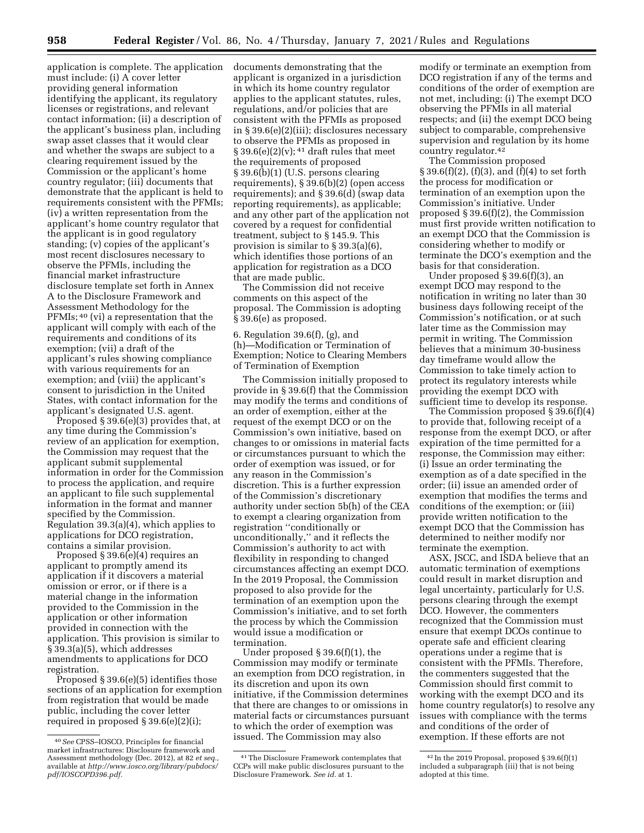application is complete. The application must include: (i) A cover letter providing general information identifying the applicant, its regulatory licenses or registrations, and relevant contact information; (ii) a description of the applicant's business plan, including swap asset classes that it would clear and whether the swaps are subject to a clearing requirement issued by the Commission or the applicant's home country regulator; (iii) documents that demonstrate that the applicant is held to requirements consistent with the PFMIs; (iv) a written representation from the applicant's home country regulator that the applicant is in good regulatory standing; (v) copies of the applicant's most recent disclosures necessary to observe the PFMIs, including the financial market infrastructure disclosure template set forth in Annex A to the Disclosure Framework and Assessment Methodology for the PFMIs; 40 (vi) a representation that the applicant will comply with each of the requirements and conditions of its exemption; (vii) a draft of the applicant's rules showing compliance with various requirements for an exemption; and (viii) the applicant's consent to jurisdiction in the United States, with contact information for the applicant's designated U.S. agent.

Proposed § 39.6(e)(3) provides that, at any time during the Commission's review of an application for exemption, the Commission may request that the applicant submit supplemental information in order for the Commission to process the application, and require an applicant to file such supplemental information in the format and manner specified by the Commission. Regulation 39.3(a)(4), which applies to applications for DCO registration, contains a similar provision.

Proposed § 39.6(e)(4) requires an applicant to promptly amend its application if it discovers a material omission or error, or if there is a material change in the information provided to the Commission in the application or other information provided in connection with the application. This provision is similar to § 39.3(a)(5), which addresses amendments to applications for DCO registration.

Proposed § 39.6(e)(5) identifies those sections of an application for exemption from registration that would be made public, including the cover letter required in proposed § 39.6(e)(2)(i);

documents demonstrating that the applicant is organized in a jurisdiction in which its home country regulator applies to the applicant statutes, rules, regulations, and/or policies that are consistent with the PFMIs as proposed in § 39.6(e)(2)(iii); disclosures necessary to observe the PFMIs as proposed in  $§ 39.6(e)(2)(v);$ <sup>41</sup> draft rules that meet the requirements of proposed § 39.6(b)(1) (U.S. persons clearing requirements), § 39.6(b)(2) (open access requirements); and § 39.6(d) (swap data reporting requirements), as applicable; and any other part of the application not covered by a request for confidential treatment, subject to § 145.9. This provision is similar to § 39.3(a)(6), which identifies those portions of an application for registration as a DCO that are made public.

The Commission did not receive comments on this aspect of the proposal. The Commission is adopting § 39.6(e) as proposed.

6. Regulation 39.6(f), (g), and (h)—Modification or Termination of Exemption; Notice to Clearing Members of Termination of Exemption

The Commission initially proposed to provide in § 39.6(f) that the Commission may modify the terms and conditions of an order of exemption, either at the request of the exempt DCO or on the Commission's own initiative, based on changes to or omissions in material facts or circumstances pursuant to which the order of exemption was issued, or for any reason in the Commission's discretion. This is a further expression of the Commission's discretionary authority under section 5b(h) of the CEA to exempt a clearing organization from registration ''conditionally or unconditionally,'' and it reflects the Commission's authority to act with flexibility in responding to changed circumstances affecting an exempt DCO. In the 2019 Proposal, the Commission proposed to also provide for the termination of an exemption upon the Commission's initiative, and to set forth the process by which the Commission would issue a modification or termination.

Under proposed § 39.6(f)(1), the Commission may modify or terminate an exemption from DCO registration, in its discretion and upon its own initiative, if the Commission determines that there are changes to or omissions in material facts or circumstances pursuant to which the order of exemption was issued. The Commission may also

modify or terminate an exemption from DCO registration if any of the terms and conditions of the order of exemption are not met, including: (i) The exempt DCO observing the PFMIs in all material respects; and (ii) the exempt DCO being subject to comparable, comprehensive supervision and regulation by its home country regulator.42

The Commission proposed  $\S 39.6(f)(2)$ ,  $(f)(3)$ , and  $(f)(4)$  to set forth the process for modification or termination of an exemption upon the Commission's initiative. Under proposed § 39.6(f)(2), the Commission must first provide written notification to an exempt DCO that the Commission is considering whether to modify or terminate the DCO's exemption and the basis for that consideration.

Under proposed § 39.6(f)(3), an exempt DCO may respond to the notification in writing no later than 30 business days following receipt of the Commission's notification, or at such later time as the Commission may permit in writing. The Commission believes that a minimum 30-business day timeframe would allow the Commission to take timely action to protect its regulatory interests while providing the exempt DCO with sufficient time to develop its response.

The Commission proposed § 39.6(f)(4) to provide that, following receipt of a response from the exempt DCO, or after expiration of the time permitted for a response, the Commission may either: (i) Issue an order terminating the exemption as of a date specified in the order; (ii) issue an amended order of exemption that modifies the terms and conditions of the exemption; or (iii) provide written notification to the exempt DCO that the Commission has determined to neither modify nor terminate the exemption.

ASX, JSCC, and ISDA believe that an automatic termination of exemptions could result in market disruption and legal uncertainty, particularly for U.S. persons clearing through the exempt DCO. However, the commenters recognized that the Commission must ensure that exempt DCOs continue to operate safe and efficient clearing operations under a regime that is consistent with the PFMIs. Therefore, the commenters suggested that the Commission should first commit to working with the exempt DCO and its home country regulator(s) to resolve any issues with compliance with the terms and conditions of the order of exemption. If these efforts are not

<sup>40</sup>*See* CPSS–IOSCO, Principles for financial market infrastructures: Disclosure framework and Assessment methodology (Dec. 2012), at 82 *et seq.,*  available at *[http://www.iosco.org/library/pubdocs/](http://www.iosco.org/library/pubdocs/pdf/IOSCOPD396.pdf) [pdf/IOSCOPD396.pdf.](http://www.iosco.org/library/pubdocs/pdf/IOSCOPD396.pdf)* 

<sup>41</sup>The Disclosure Framework contemplates that CCPs will make public disclosures pursuant to the Disclosure Framework. *See id.* at 1.

<sup>42</sup> In the 2019 Proposal, proposed § 39.6(f)(1) included a subparagraph (iii) that is not being adopted at this time.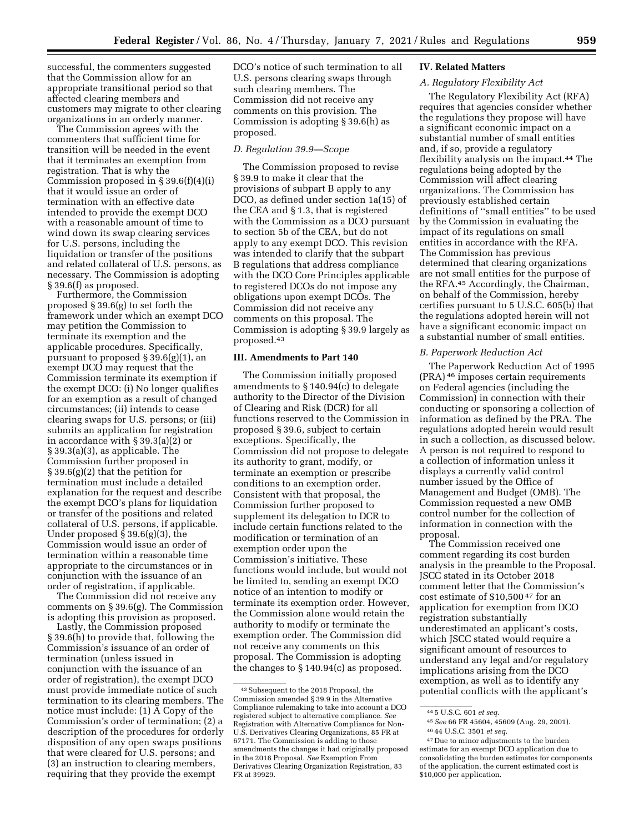successful, the commenters suggested that the Commission allow for an appropriate transitional period so that affected clearing members and customers may migrate to other clearing organizations in an orderly manner.

The Commission agrees with the commenters that sufficient time for transition will be needed in the event that it terminates an exemption from registration. That is why the Commission proposed in § 39.6(f)(4)(i) that it would issue an order of termination with an effective date intended to provide the exempt DCO with a reasonable amount of time to wind down its swap clearing services for U.S. persons, including the liquidation or transfer of the positions and related collateral of U.S. persons, as necessary. The Commission is adopting § 39.6(f) as proposed.

Furthermore, the Commission proposed § 39.6(g) to set forth the framework under which an exempt DCO may petition the Commission to terminate its exemption and the applicable procedures. Specifically, pursuant to proposed § 39.6(g)(1), an exempt DCO may request that the Commission terminate its exemption if the exempt DCO: (i) No longer qualifies for an exemption as a result of changed circumstances; (ii) intends to cease clearing swaps for U.S. persons; or (iii) submits an application for registration in accordance with § 39.3(a)(2) or § 39.3(a)(3), as applicable. The Commission further proposed in § 39.6(g)(2) that the petition for termination must include a detailed explanation for the request and describe the exempt DCO's plans for liquidation or transfer of the positions and related collateral of U.S. persons, if applicable. Under proposed § 39.6(g)(3), the Commission would issue an order of termination within a reasonable time appropriate to the circumstances or in conjunction with the issuance of an order of registration, if applicable.

The Commission did not receive any comments on § 39.6(g). The Commission is adopting this provision as proposed.

Lastly, the Commission proposed § 39.6(h) to provide that, following the Commission's issuance of an order of termination (unless issued in conjunction with the issuance of an order of registration), the exempt DCO must provide immediate notice of such termination to its clearing members. The notice must include: (1) A Copy of the Commission's order of termination; (2) a description of the procedures for orderly disposition of any open swaps positions that were cleared for U.S. persons; and (3) an instruction to clearing members, requiring that they provide the exempt

DCO's notice of such termination to all U.S. persons clearing swaps through such clearing members. The Commission did not receive any comments on this provision. The Commission is adopting § 39.6(h) as proposed.

# *D. Regulation 39.9—Scope*

The Commission proposed to revise § 39.9 to make it clear that the provisions of subpart B apply to any DCO, as defined under section 1a(15) of the CEA and § 1.3, that is registered with the Commission as a DCO pursuant to section 5b of the CEA, but do not apply to any exempt DCO. This revision was intended to clarify that the subpart B regulations that address compliance with the DCO Core Principles applicable to registered DCOs do not impose any obligations upon exempt DCOs. The Commission did not receive any comments on this proposal. The Commission is adopting § 39.9 largely as proposed.43

#### **III. Amendments to Part 140**

The Commission initially proposed amendments to § 140.94(c) to delegate authority to the Director of the Division of Clearing and Risk (DCR) for all functions reserved to the Commission in proposed § 39.6, subject to certain exceptions. Specifically, the Commission did not propose to delegate its authority to grant, modify, or terminate an exemption or prescribe conditions to an exemption order. Consistent with that proposal, the Commission further proposed to supplement its delegation to DCR to include certain functions related to the modification or termination of an exemption order upon the Commission's initiative. These functions would include, but would not be limited to, sending an exempt DCO notice of an intention to modify or terminate its exemption order. However, the Commission alone would retain the authority to modify or terminate the exemption order. The Commission did not receive any comments on this proposal. The Commission is adopting the changes to § 140.94(c) as proposed.

#### **IV. Related Matters**

# *A. Regulatory Flexibility Act*

The Regulatory Flexibility Act (RFA) requires that agencies consider whether the regulations they propose will have a significant economic impact on a substantial number of small entities and, if so, provide a regulatory flexibility analysis on the impact.44 The regulations being adopted by the Commission will affect clearing organizations. The Commission has previously established certain definitions of ''small entities'' to be used by the Commission in evaluating the impact of its regulations on small entities in accordance with the RFA. The Commission has previous determined that clearing organizations are not small entities for the purpose of the RFA.45 Accordingly, the Chairman, on behalf of the Commission, hereby certifies pursuant to 5 U.S.C. 605(b) that the regulations adopted herein will not have a significant economic impact on a substantial number of small entities.

#### *B. Paperwork Reduction Act*

The Paperwork Reduction Act of 1995 (PRA) 46 imposes certain requirements on Federal agencies (including the Commission) in connection with their conducting or sponsoring a collection of information as defined by the PRA. The regulations adopted herein would result in such a collection, as discussed below. A person is not required to respond to a collection of information unless it displays a currently valid control number issued by the Office of Management and Budget (OMB). The Commission requested a new OMB control number for the collection of information in connection with the proposal.

The Commission received one comment regarding its cost burden analysis in the preamble to the Proposal. JSCC stated in its October 2018 comment letter that the Commission's cost estimate of \$10,500 47 for an application for exemption from DCO registration substantially underestimated an applicant's costs, which JSCC stated would require a significant amount of resources to understand any legal and/or regulatory implications arising from the DCO exemption, as well as to identify any potential conflicts with the applicant's

<sup>43</sup>Subsequent to the 2018 Proposal, the Commission amended § 39.9 in the Alternative Compliance rulemaking to take into account a DCO registered subject to alternative compliance. *See*  Registration with Alternative Compliance for Non-U.S. Derivatives Clearing Organizations, 85 FR at 67171. The Commission is adding to those amendments the changes it had originally proposed in the 2018 Proposal. *See* Exemption From Derivatives Clearing Organization Registration, 83 FR at 39929.

<sup>44</sup> 5 U.S.C. 601 *et seq.* 

<sup>45</sup>*See* 66 FR 45604, 45609 (Aug. 29, 2001). 46 44 U.S.C. 3501 *et seq.* 

<sup>47</sup> Due to minor adjustments to the burden estimate for an exempt DCO application due to consolidating the burden estimates for components of the application, the current estimated cost is \$10,000 per application.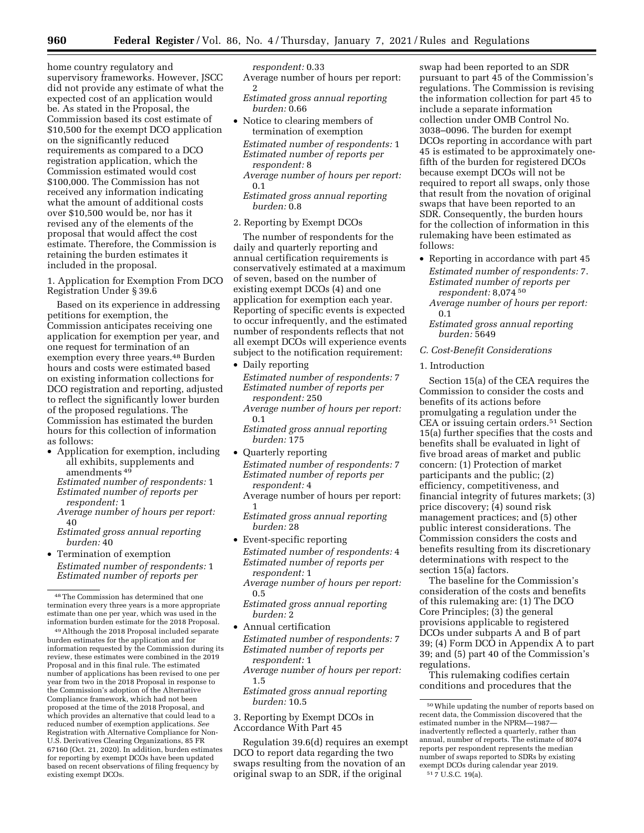home country regulatory and supervisory frameworks. However, JSCC did not provide any estimate of what the expected cost of an application would be. As stated in the Proposal, the Commission based its cost estimate of \$10,500 for the exempt DCO application on the significantly reduced requirements as compared to a DCO registration application, which the Commission estimated would cost \$100,000. The Commission has not received any information indicating what the amount of additional costs over \$10,500 would be, nor has it revised any of the elements of the proposal that would affect the cost estimate. Therefore, the Commission is retaining the burden estimates it included in the proposal.

1. Application for Exemption From DCO Registration Under § 39.6

Based on its experience in addressing petitions for exemption, the Commission anticipates receiving one application for exemption per year, and one request for termination of an exemption every three years.48 Burden hours and costs were estimated based on existing information collections for DCO registration and reporting, adjusted to reflect the significantly lower burden of the proposed regulations. The Commission has estimated the burden hours for this collection of information as follows:

- Application for exemption, including all exhibits, supplements and amendments 49
	- *Estimated number of respondents:* 1 *Estimated number of reports per respondent:* 1
	- *Average number of hours per report:*  40
	- *Estimated gross annual reporting burden:* 40
- Termination of exemption *Estimated number of respondents:* 1 *Estimated number of reports per*

49Although the 2018 Proposal included separate burden estimates for the application and for information requested by the Commission during its review, these estimates were combined in the 2019 Proposal and in this final rule. The estimated number of applications has been revised to one per year from two in the 2018 Proposal in response to the Commission's adoption of the Alternative Compliance framework, which had not been proposed at the time of the 2018 Proposal, and which provides an alternative that could lead to a reduced number of exemption applications. *See*  Registration with Alternative Compliance for Non-U.S. Derivatives Clearing Organizations, 85 FR 67160 (Oct. 21, 2020). In addition, burden estimates for reporting by exempt DCOs have been updated based on recent observations of filing frequency by existing exempt DCOs.

# *respondent:* 0.33

Average number of hours per report: 2

- *Estimated gross annual reporting burden:* 0.66
- Notice to clearing members of termination of exemption *Estimated number of respondents:* 1 *Estimated number of reports per respondent:* 8
	- *Average number of hours per report:*  0.1
	- *Estimated gross annual reporting burden:* 0.8
- 2. Reporting by Exempt DCOs

The number of respondents for the daily and quarterly reporting and annual certification requirements is conservatively estimated at a maximum of seven, based on the number of existing exempt DCOs (4) and one application for exemption each year. Reporting of specific events is expected to occur infrequently, and the estimated number of respondents reflects that not all exempt DCOs will experience events subject to the notification requirement:

- Daily reporting *Estimated number of respondents:* 7 *Estimated number of reports per respondent:* 250
	- *Average number of hours per report:*  0.1
	- *Estimated gross annual reporting burden:* 175
- Quarterly reporting *Estimated number of respondents:* 7 *Estimated number of reports per respondent:* 4
	- Average number of hours per report: 1
	- *Estimated gross annual reporting burden:* 28
- Event-specific reporting *Estimated number of respondents:* 4 *Estimated number of reports per respondent:* 1
	- *Average number of hours per report:*  0.5
	- *Estimated gross annual reporting burden:* 2
- Annual certification *Estimated number of respondents:* 7 *Estimated number of reports per respondent:* 1
	- *Average number of hours per report:*  1.5
	- *Estimated gross annual reporting burden:* 10.5
- 3. Reporting by Exempt DCOs in Accordance With Part 45

Regulation 39.6(d) requires an exempt DCO to report data regarding the two swaps resulting from the novation of an original swap to an SDR, if the original

swap had been reported to an SDR pursuant to part 45 of the Commission's regulations. The Commission is revising the information collection for part 45 to include a separate information collection under OMB Control No. 3038–0096. The burden for exempt DCOs reporting in accordance with part 45 is estimated to be approximately onefifth of the burden for registered DCOs because exempt DCOs will not be required to report all swaps, only those that result from the novation of original swaps that have been reported to an SDR. Consequently, the burden hours for the collection of information in this rulemaking have been estimated as follows:

- Reporting in accordance with part 45 *Estimated number of respondents:* 7. *Estimated number of reports per respondent:* 8,074 50
	- *Average number of hours per report:*  0.1

*Estimated gross annual reporting burden:* 5649

*C. Cost-Benefit Considerations* 

# 1. Introduction

Section 15(a) of the CEA requires the Commission to consider the costs and benefits of its actions before promulgating a regulation under the CEA or issuing certain orders.<sup>51</sup> Section 15(a) further specifies that the costs and benefits shall be evaluated in light of five broad areas of market and public concern: (1) Protection of market participants and the public; (2) efficiency, competitiveness, and financial integrity of futures markets; (3) price discovery; (4) sound risk management practices; and (5) other public interest considerations. The Commission considers the costs and benefits resulting from its discretionary determinations with respect to the section 15(a) factors.

The baseline for the Commission's consideration of the costs and benefits of this rulemaking are: (1) The DCO Core Principles; (3) the general provisions applicable to registered DCOs under subparts A and B of part 39; (4) Form DCO in Appendix A to part 39; and (5) part 40 of the Commission's regulations.

This rulemaking codifies certain conditions and procedures that the

<sup>48</sup>The Commission has determined that one termination every three years is a more appropriate estimate than one per year, which was used in the information burden estimate for the 2018 Proposal.

<sup>50</sup>While updating the number of reports based on recent data, the Commission discovered that the estimated number in the NPRM—1987 inadvertently reflected a quarterly, rather than annual, number of reports. The estimate of 8074 reports per respondent represents the median number of swaps reported to SDRs by existing exempt DCOs during calendar year 2019. 51 7 U.S.C. 19(a).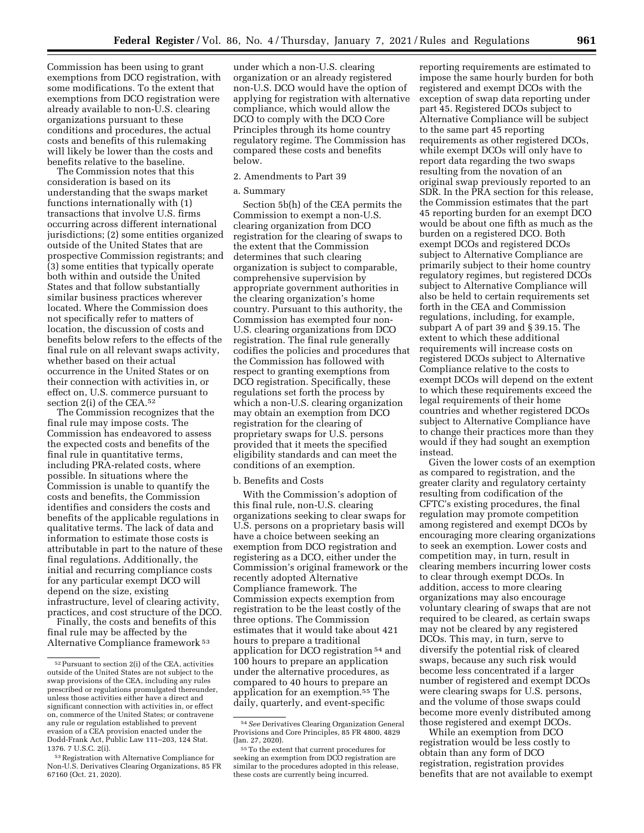Commission has been using to grant exemptions from DCO registration, with some modifications. To the extent that exemptions from DCO registration were already available to non-U.S. clearing organizations pursuant to these conditions and procedures, the actual costs and benefits of this rulemaking will likely be lower than the costs and

benefits relative to the baseline. The Commission notes that this consideration is based on its understanding that the swaps market functions internationally with (1) transactions that involve U.S. firms occurring across different international jurisdictions; (2) some entities organized outside of the United States that are prospective Commission registrants; and (3) some entities that typically operate both within and outside the United States and that follow substantially similar business practices wherever located. Where the Commission does not specifically refer to matters of location, the discussion of costs and benefits below refers to the effects of the final rule on all relevant swaps activity, whether based on their actual occurrence in the United States or on their connection with activities in, or effect on, U.S. commerce pursuant to section 2(i) of the CEA.<sup>52</sup>

The Commission recognizes that the final rule may impose costs. The Commission has endeavored to assess the expected costs and benefits of the final rule in quantitative terms, including PRA-related costs, where possible. In situations where the Commission is unable to quantify the costs and benefits, the Commission identifies and considers the costs and benefits of the applicable regulations in qualitative terms. The lack of data and information to estimate those costs is attributable in part to the nature of these final regulations. Additionally, the initial and recurring compliance costs for any particular exempt DCO will depend on the size, existing infrastructure, level of clearing activity, practices, and cost structure of the DCO.

Finally, the costs and benefits of this final rule may be affected by the Alternative Compliance framework 53

under which a non-U.S. clearing organization or an already registered non-U.S. DCO would have the option of applying for registration with alternative compliance, which would allow the DCO to comply with the DCO Core Principles through its home country regulatory regime. The Commission has compared these costs and benefits below.

#### 2. Amendments to Part 39

# a. Summary

Section 5b(h) of the CEA permits the Commission to exempt a non-U.S. clearing organization from DCO registration for the clearing of swaps to the extent that the Commission determines that such clearing organization is subject to comparable, comprehensive supervision by appropriate government authorities in the clearing organization's home country. Pursuant to this authority, the Commission has exempted four non-U.S. clearing organizations from DCO registration. The final rule generally codifies the policies and procedures that the Commission has followed with respect to granting exemptions from DCO registration. Specifically, these regulations set forth the process by which a non-U.S. clearing organization may obtain an exemption from DCO registration for the clearing of proprietary swaps for U.S. persons provided that it meets the specified eligibility standards and can meet the conditions of an exemption.

#### b. Benefits and Costs

With the Commission's adoption of this final rule, non-U.S. clearing organizations seeking to clear swaps for U.S. persons on a proprietary basis will have a choice between seeking an exemption from DCO registration and registering as a DCO, either under the Commission's original framework or the recently adopted Alternative Compliance framework. The Commission expects exemption from registration to be the least costly of the three options. The Commission estimates that it would take about 421 hours to prepare a traditional application for DCO registration 54 and 100 hours to prepare an application under the alternative procedures, as compared to 40 hours to prepare an application for an exemption.55 The daily, quarterly, and event-specific

reporting requirements are estimated to impose the same hourly burden for both registered and exempt DCOs with the exception of swap data reporting under part 45. Registered DCOs subject to Alternative Compliance will be subject to the same part 45 reporting requirements as other registered DCOs, while exempt DCOs will only have to report data regarding the two swaps resulting from the novation of an original swap previously reported to an SDR. In the PRA section for this release, the Commission estimates that the part 45 reporting burden for an exempt DCO would be about one fifth as much as the burden on a registered DCO. Both exempt DCOs and registered DCOs subject to Alternative Compliance are primarily subject to their home country regulatory regimes, but registered DCOs subject to Alternative Compliance will also be held to certain requirements set forth in the CEA and Commission regulations, including, for example, subpart A of part 39 and § 39.15. The extent to which these additional requirements will increase costs on registered DCOs subject to Alternative Compliance relative to the costs to exempt DCOs will depend on the extent to which these requirements exceed the legal requirements of their home countries and whether registered DCOs subject to Alternative Compliance have to change their practices more than they would if they had sought an exemption instead.

Given the lower costs of an exemption as compared to registration, and the greater clarity and regulatory certainty resulting from codification of the CFTC's existing procedures, the final regulation may promote competition among registered and exempt DCOs by encouraging more clearing organizations to seek an exemption. Lower costs and competition may, in turn, result in clearing members incurring lower costs to clear through exempt DCOs. In addition, access to more clearing organizations may also encourage voluntary clearing of swaps that are not required to be cleared, as certain swaps may not be cleared by any registered DCOs. This may, in turn, serve to diversify the potential risk of cleared swaps, because any such risk would become less concentrated if a larger number of registered and exempt DCOs were clearing swaps for U.S. persons, and the volume of those swaps could become more evenly distributed among those registered and exempt DCOs.

While an exemption from DCO registration would be less costly to obtain than any form of DCO registration, registration provides benefits that are not available to exempt

<sup>52</sup>Pursuant to section 2(i) of the CEA, activities outside of the United States are not subject to the swap provisions of the CEA, including any rules prescribed or regulations promulgated thereunder, unless those activities either have a direct and significant connection with activities in, or effect on, commerce of the United States; or contravene any rule or regulation established to prevent evasion of a CEA provision enacted under the Dodd-Frank Act, Public Law 111–203, 124 Stat. 1376. 7 U.S.C. 2(i).

<sup>53</sup>Registration with Alternative Compliance for Non-U.S. Derivatives Clearing Organizations, 85 FR 67160 (Oct. 21, 2020).

<sup>54</sup>*See* Derivatives Clearing Organization General Provisions and Core Principles, 85 FR 4800, 4829

<sup>55</sup> To the extent that current procedures for seeking an exemption from DCO registration are similar to the procedures adopted in this release, these costs are currently being incurred.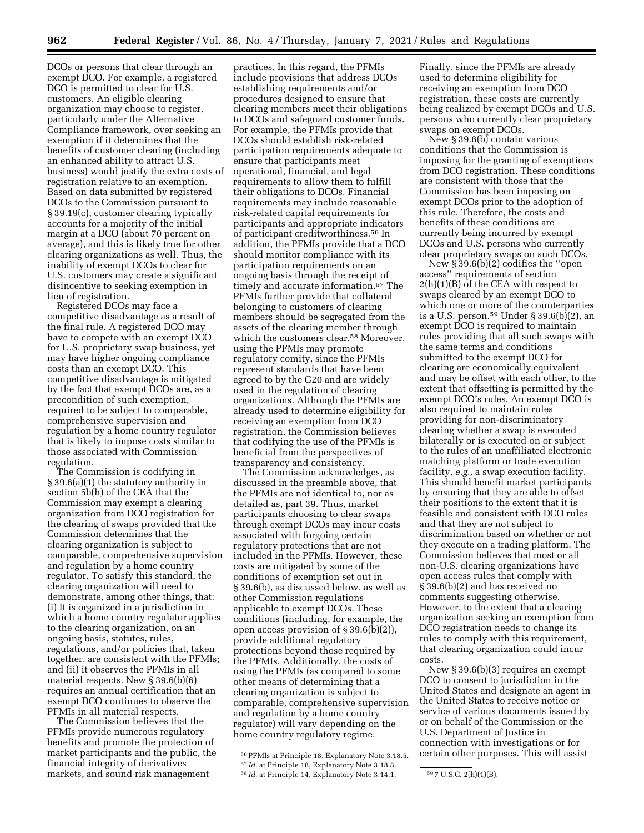DCOs or persons that clear through an exempt DCO. For example, a registered DCO is permitted to clear for U.S. customers. An eligible clearing organization may choose to register, particularly under the Alternative Compliance framework, over seeking an exemption if it determines that the benefits of customer clearing (including an enhanced ability to attract U.S. business) would justify the extra costs of registration relative to an exemption. Based on data submitted by registered DCOs to the Commission pursuant to § 39.19(c), customer clearing typically accounts for a majority of the initial margin at a DCO (about 70 percent on average), and this is likely true for other clearing organizations as well. Thus, the inability of exempt DCOs to clear for U.S. customers may create a significant disincentive to seeking exemption in lieu of registration.

Registered DCOs may face a competitive disadvantage as a result of the final rule. A registered DCO may have to compete with an exempt DCO for U.S. proprietary swap business, yet may have higher ongoing compliance costs than an exempt DCO. This competitive disadvantage is mitigated by the fact that exempt DCOs are, as a precondition of such exemption, required to be subject to comparable, comprehensive supervision and regulation by a home country regulator that is likely to impose costs similar to those associated with Commission regulation.

The Commission is codifying in § 39.6(a)(1) the statutory authority in section 5b(h) of the CEA that the Commission may exempt a clearing organization from DCO registration for the clearing of swaps provided that the Commission determines that the clearing organization is subject to comparable, comprehensive supervision and regulation by a home country regulator. To satisfy this standard, the clearing organization will need to demonstrate, among other things, that: (i) It is organized in a jurisdiction in which a home country regulator applies to the clearing organization, on an ongoing basis, statutes, rules, regulations, and/or policies that, taken together, are consistent with the PFMIs; and (ii) it observes the PFMIs in all material respects. New § 39.6(b)(6) requires an annual certification that an exempt DCO continues to observe the PFMIs in all material respects.

The Commission believes that the PFMIs provide numerous regulatory benefits and promote the protection of market participants and the public, the financial integrity of derivatives markets, and sound risk management

practices. In this regard, the PFMIs include provisions that address DCOs establishing requirements and/or procedures designed to ensure that clearing members meet their obligations to DCOs and safeguard customer funds. For example, the PFMIs provide that DCOs should establish risk-related participation requirements adequate to ensure that participants meet operational, financial, and legal requirements to allow them to fulfill their obligations to DCOs. Financial requirements may include reasonable risk-related capital requirements for participants and appropriate indicators of participant creditworthiness.56 In addition, the PFMIs provide that a DCO should monitor compliance with its participation requirements on an ongoing basis through the receipt of timely and accurate information.57 The PFMIs further provide that collateral belonging to customers of clearing members should be segregated from the assets of the clearing member through which the customers clear.<sup>58</sup> Moreover, using the PFMIs may promote regulatory comity, since the PFMIs represent standards that have been agreed to by the G20 and are widely used in the regulation of clearing organizations. Although the PFMIs are already used to determine eligibility for receiving an exemption from DCO registration, the Commission believes that codifying the use of the PFMIs is beneficial from the perspectives of transparency and consistency.

The Commission acknowledges, as discussed in the preamble above, that the PFMIs are not identical to, nor as detailed as, part 39. Thus, market participants choosing to clear swaps through exempt DCOs may incur costs associated with forgoing certain regulatory protections that are not included in the PFMIs. However, these costs are mitigated by some of the conditions of exemption set out in § 39.6(b), as discussed below, as well as other Commission regulations applicable to exempt DCOs. These conditions (including, for example, the open access provision of § 39.6(b)(2)), provide additional regulatory protections beyond those required by the PFMIs. Additionally, the costs of using the PFMIs (as compared to some other means of determining that a clearing organization is subject to comparable, comprehensive supervision and regulation by a home country regulator) will vary depending on the home country regulatory regime.

Finally, since the PFMIs are already used to determine eligibility for receiving an exemption from DCO registration, these costs are currently being realized by exempt DCOs and U.S. persons who currently clear proprietary swaps on exempt DCOs.

New § 39.6(b) contain various conditions that the Commission is imposing for the granting of exemptions from DCO registration. These conditions are consistent with those that the Commission has been imposing on exempt DCOs prior to the adoption of this rule. Therefore, the costs and benefits of these conditions are currently being incurred by exempt DCOs and U.S. persons who currently clear proprietary swaps on such DCOs.

New § 39.6(b)(2) codifies the ''open access'' requirements of section 2(h)(1)(B) of the CEA with respect to swaps cleared by an exempt DCO to which one or more of the counterparties is a U.S. person.59 Under § 39.6(b)(2), an exempt DCO is required to maintain rules providing that all such swaps with the same terms and conditions submitted to the exempt DCO for clearing are economically equivalent and may be offset with each other, to the extent that offsetting is permitted by the exempt DCO's rules. An exempt DCO is also required to maintain rules providing for non-discriminatory clearing whether a swap is executed bilaterally or is executed on or subject to the rules of an unaffiliated electronic matching platform or trade execution facility, *e.g.,* a swap execution facility. This should benefit market participants by ensuring that they are able to offset their positions to the extent that it is feasible and consistent with DCO rules and that they are not subject to discrimination based on whether or not they execute on a trading platform. The Commission believes that most or all non-U.S. clearing organizations have open access rules that comply with § 39.6(b)(2) and has received no comments suggesting otherwise. However, to the extent that a clearing organization seeking an exemption from DCO registration needs to change its rules to comply with this requirement, that clearing organization could incur costs.

New § 39.6(b)(3) requires an exempt DCO to consent to jurisdiction in the United States and designate an agent in the United States to receive notice or service of various documents issued by or on behalf of the Commission or the U.S. Department of Justice in connection with investigations or for certain other purposes. This will assist

<sup>56</sup>PFMIs at Principle 18, Explanatory Note 3.18.5. 57 *Id.* at Principle 18, Explanatory Note 3.18.8. 58 *Id.* at Principle 14, Explanatory Note 3.14.1. 59 7 U.S.C. 2(h)(1)(B).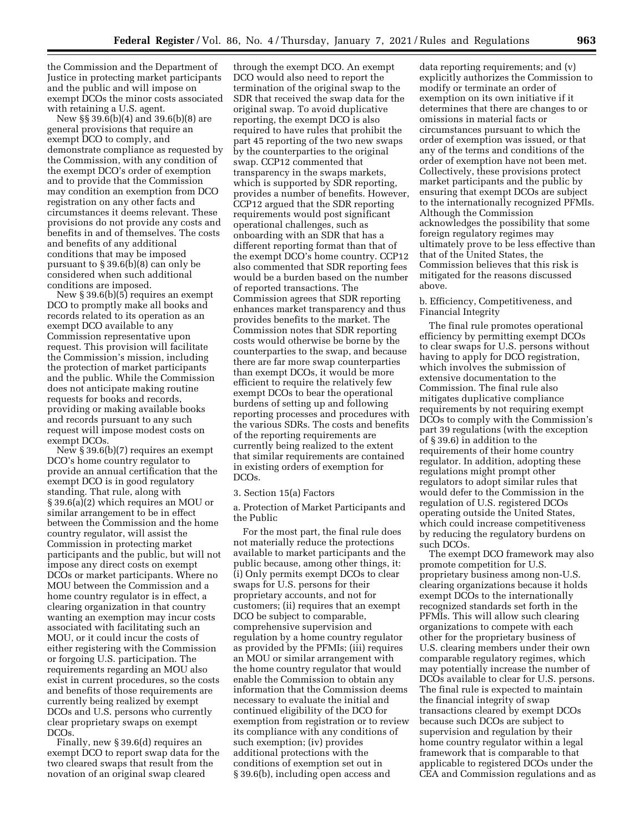the Commission and the Department of Justice in protecting market participants and the public and will impose on exempt DCOs the minor costs associated with retaining a U.S. agent.

New §§ 39.6(b)(4) and 39.6(b)(8) are general provisions that require an exempt DCO to comply, and demonstrate compliance as requested by the Commission, with any condition of the exempt DCO's order of exemption and to provide that the Commission may condition an exemption from DCO registration on any other facts and circumstances it deems relevant. These provisions do not provide any costs and benefits in and of themselves. The costs and benefits of any additional conditions that may be imposed pursuant to § 39.6(b)(8) can only be considered when such additional conditions are imposed.

New § 39.6(b)(5) requires an exempt DCO to promptly make all books and records related to its operation as an exempt DCO available to any Commission representative upon request. This provision will facilitate the Commission's mission, including the protection of market participants and the public. While the Commission does not anticipate making routine requests for books and records, providing or making available books and records pursuant to any such request will impose modest costs on exempt DCOs.

New § 39.6(b)(7) requires an exempt DCO's home country regulator to provide an annual certification that the exempt DCO is in good regulatory standing. That rule, along with § 39.6(a)(2) which requires an MOU or similar arrangement to be in effect between the Commission and the home country regulator, will assist the Commission in protecting market participants and the public, but will not impose any direct costs on exempt DCOs or market participants. Where no MOU between the Commission and a home country regulator is in effect, a clearing organization in that country wanting an exemption may incur costs associated with facilitating such an MOU, or it could incur the costs of either registering with the Commission or forgoing U.S. participation. The requirements regarding an MOU also exist in current procedures, so the costs and benefits of those requirements are currently being realized by exempt DCOs and U.S. persons who currently clear proprietary swaps on exempt DCOs.

Finally, new § 39.6(d) requires an exempt DCO to report swap data for the two cleared swaps that result from the novation of an original swap cleared

through the exempt DCO. An exempt DCO would also need to report the termination of the original swap to the SDR that received the swap data for the original swap. To avoid duplicative reporting, the exempt DCO is also required to have rules that prohibit the part 45 reporting of the two new swaps by the counterparties to the original swap. CCP12 commented that transparency in the swaps markets, which is supported by SDR reporting, provides a number of benefits. However, CCP12 argued that the SDR reporting requirements would post significant operational challenges, such as onboarding with an SDR that has a different reporting format than that of the exempt DCO's home country. CCP12 also commented that SDR reporting fees would be a burden based on the number of reported transactions. The Commission agrees that SDR reporting enhances market transparency and thus provides benefits to the market. The Commission notes that SDR reporting costs would otherwise be borne by the counterparties to the swap, and because there are far more swap counterparties than exempt DCOs, it would be more efficient to require the relatively few exempt DCOs to bear the operational burdens of setting up and following reporting processes and procedures with the various SDRs. The costs and benefits of the reporting requirements are currently being realized to the extent that similar requirements are contained in existing orders of exemption for DCOs.

#### 3. Section 15(a) Factors

a. Protection of Market Participants and the Public

For the most part, the final rule does not materially reduce the protections available to market participants and the public because, among other things, it: (i) Only permits exempt DCOs to clear swaps for U.S. persons for their proprietary accounts, and not for customers; (ii) requires that an exempt DCO be subject to comparable, comprehensive supervision and regulation by a home country regulator as provided by the PFMIs; (iii) requires an MOU or similar arrangement with the home country regulator that would enable the Commission to obtain any information that the Commission deems necessary to evaluate the initial and continued eligibility of the DCO for exemption from registration or to review its compliance with any conditions of such exemption; (iv) provides additional protections with the conditions of exemption set out in § 39.6(b), including open access and

data reporting requirements; and (v) explicitly authorizes the Commission to modify or terminate an order of exemption on its own initiative if it determines that there are changes to or omissions in material facts or circumstances pursuant to which the order of exemption was issued, or that any of the terms and conditions of the order of exemption have not been met. Collectively, these provisions protect market participants and the public by ensuring that exempt DCOs are subject to the internationally recognized PFMIs. Although the Commission acknowledges the possibility that some foreign regulatory regimes may ultimately prove to be less effective than that of the United States, the Commission believes that this risk is mitigated for the reasons discussed above.

# b. Efficiency, Competitiveness, and Financial Integrity

The final rule promotes operational efficiency by permitting exempt DCOs to clear swaps for U.S. persons without having to apply for DCO registration, which involves the submission of extensive documentation to the Commission. The final rule also mitigates duplicative compliance requirements by not requiring exempt DCOs to comply with the Commission's part 39 regulations (with the exception of § 39.6) in addition to the requirements of their home country regulator. In addition, adopting these regulations might prompt other regulators to adopt similar rules that would defer to the Commission in the regulation of U.S. registered DCOs operating outside the United States, which could increase competitiveness by reducing the regulatory burdens on such DCOs.

The exempt DCO framework may also promote competition for U.S. proprietary business among non-U.S. clearing organizations because it holds exempt DCOs to the internationally recognized standards set forth in the PFMIs. This will allow such clearing organizations to compete with each other for the proprietary business of U.S. clearing members under their own comparable regulatory regimes, which may potentially increase the number of DCOs available to clear for U.S. persons. The final rule is expected to maintain the financial integrity of swap transactions cleared by exempt DCOs because such DCOs are subject to supervision and regulation by their home country regulator within a legal framework that is comparable to that applicable to registered DCOs under the CEA and Commission regulations and as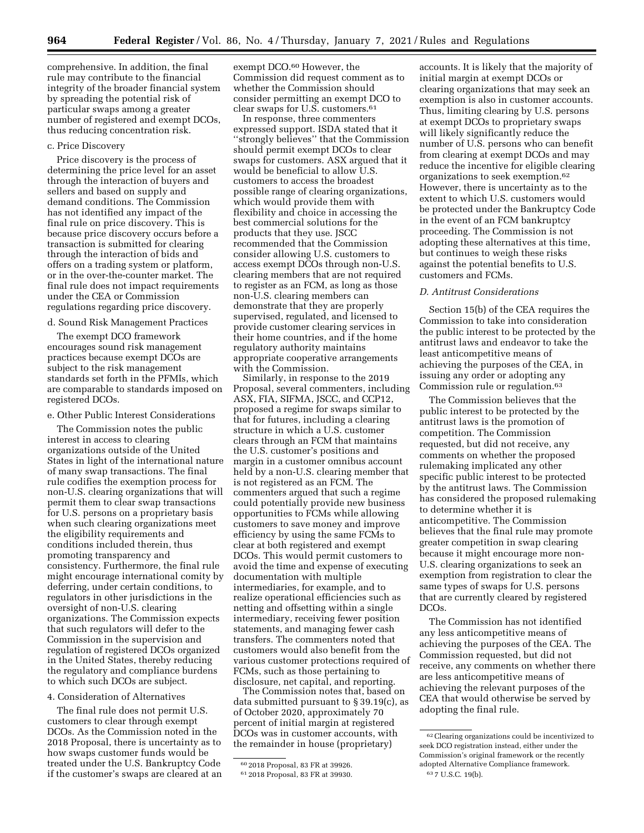comprehensive. In addition, the final rule may contribute to the financial integrity of the broader financial system by spreading the potential risk of particular swaps among a greater number of registered and exempt DCOs, thus reducing concentration risk.

#### c. Price Discovery

Price discovery is the process of determining the price level for an asset through the interaction of buyers and sellers and based on supply and demand conditions. The Commission has not identified any impact of the final rule on price discovery. This is because price discovery occurs before a transaction is submitted for clearing through the interaction of bids and offers on a trading system or platform, or in the over-the-counter market. The final rule does not impact requirements under the CEA or Commission regulations regarding price discovery.

## d. Sound Risk Management Practices

The exempt DCO framework encourages sound risk management practices because exempt DCOs are subject to the risk management standards set forth in the PFMIs, which are comparable to standards imposed on registered DCOs.

# e. Other Public Interest Considerations

The Commission notes the public interest in access to clearing organizations outside of the United States in light of the international nature of many swap transactions. The final rule codifies the exemption process for non-U.S. clearing organizations that will permit them to clear swap transactions for U.S. persons on a proprietary basis when such clearing organizations meet the eligibility requirements and conditions included therein, thus promoting transparency and consistency. Furthermore, the final rule might encourage international comity by deferring, under certain conditions, to regulators in other jurisdictions in the oversight of non-U.S. clearing organizations. The Commission expects that such regulators will defer to the Commission in the supervision and regulation of registered DCOs organized in the United States, thereby reducing the regulatory and compliance burdens to which such DCOs are subject.

#### 4. Consideration of Alternatives

The final rule does not permit U.S. customers to clear through exempt DCOs. As the Commission noted in the 2018 Proposal, there is uncertainty as to how swaps customer funds would be treated under the U.S. Bankruptcy Code if the customer's swaps are cleared at an exempt DCO.60 However, the Commission did request comment as to whether the Commission should consider permitting an exempt DCO to clear swaps for U.S. customers.61

In response, three commenters expressed support. ISDA stated that it ''strongly believes'' that the Commission should permit exempt DCOs to clear swaps for customers. ASX argued that it would be beneficial to allow U.S. customers to access the broadest possible range of clearing organizations, which would provide them with flexibility and choice in accessing the best commercial solutions for the products that they use. JSCC recommended that the Commission consider allowing U.S. customers to access exempt DCOs through non-U.S. clearing members that are not required to register as an FCM, as long as those non-U.S. clearing members can demonstrate that they are properly supervised, regulated, and licensed to provide customer clearing services in their home countries, and if the home regulatory authority maintains appropriate cooperative arrangements with the Commission.

Similarly, in response to the 2019 Proposal, several commenters, including ASX, FIA, SIFMA, JSCC, and CCP12, proposed a regime for swaps similar to that for futures, including a clearing structure in which a U.S. customer clears through an FCM that maintains the U.S. customer's positions and margin in a customer omnibus account held by a non-U.S. clearing member that is not registered as an FCM. The commenters argued that such a regime could potentially provide new business opportunities to FCMs while allowing customers to save money and improve efficiency by using the same FCMs to clear at both registered and exempt DCOs. This would permit customers to avoid the time and expense of executing documentation with multiple intermediaries, for example, and to realize operational efficiencies such as netting and offsetting within a single intermediary, receiving fewer position statements, and managing fewer cash transfers. The commenters noted that customers would also benefit from the various customer protections required of FCMs, such as those pertaining to disclosure, net capital, and reporting.

The Commission notes that, based on data submitted pursuant to § 39.19(c), as of October 2020, approximately 70 percent of initial margin at registered DCOs was in customer accounts, with the remainder in house (proprietary)

accounts. It is likely that the majority of initial margin at exempt DCOs or clearing organizations that may seek an exemption is also in customer accounts. Thus, limiting clearing by U.S. persons at exempt DCOs to proprietary swaps will likely significantly reduce the number of U.S. persons who can benefit from clearing at exempt DCOs and may reduce the incentive for eligible clearing organizations to seek exemption.62 However, there is uncertainty as to the extent to which U.S. customers would be protected under the Bankruptcy Code in the event of an FCM bankruptcy proceeding. The Commission is not adopting these alternatives at this time, but continues to weigh these risks against the potential benefits to U.S. customers and FCMs.

#### *D. Antitrust Considerations*

Section 15(b) of the CEA requires the Commission to take into consideration the public interest to be protected by the antitrust laws and endeavor to take the least anticompetitive means of achieving the purposes of the CEA, in issuing any order or adopting any Commission rule or regulation.63

The Commission believes that the public interest to be protected by the antitrust laws is the promotion of competition. The Commission requested, but did not receive, any comments on whether the proposed rulemaking implicated any other specific public interest to be protected by the antitrust laws. The Commission has considered the proposed rulemaking to determine whether it is anticompetitive. The Commission believes that the final rule may promote greater competition in swap clearing because it might encourage more non-U.S. clearing organizations to seek an exemption from registration to clear the same types of swaps for U.S. persons that are currently cleared by registered DCOs.

The Commission has not identified any less anticompetitive means of achieving the purposes of the CEA. The Commission requested, but did not receive, any comments on whether there are less anticompetitive means of achieving the relevant purposes of the CEA that would otherwise be served by adopting the final rule.

<sup>60</sup> 2018 Proposal, 83 FR at 39926.

<sup>61</sup> 2018 Proposal, 83 FR at 39930.

<sup>62</sup>Clearing organizations could be incentivized to seek DCO registration instead, either under the Commission's original framework or the recently adopted Alternative Compliance framework. 63 7 U.S.C. 19(b).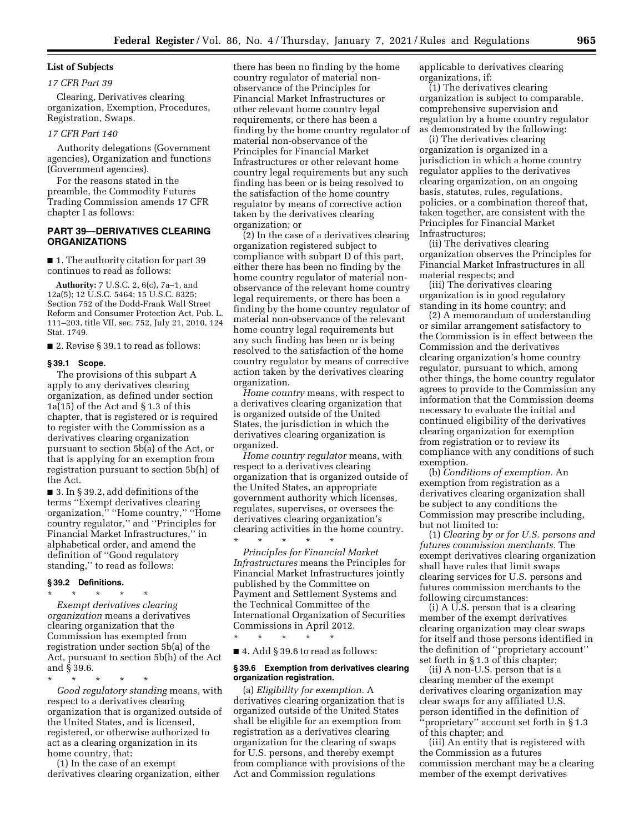#### **List of Subjects**

#### *17 CFR Part 39*

Clearing, Derivatives clearing organization, Exemption, Procedures, Registration, Swaps.

#### *17 CFR Part 140*

Authority delegations (Government agencies), Organization and functions (Government agencies).

For the reasons stated in the preamble, the Commodity Futures Trading Commission amends 17 CFR chapter I as follows:

# **PART 39—DERIVATIVES CLEARING ORGANIZATIONS**

■ 1. The authority citation for part 39 continues to read as follows:

**Authority:** 7 U.S.C. 2, 6(c), 7a–1, and 12a(5); 12 U.S.C. 5464; 15 U.S.C. 8325; Section 752 of the Dodd-Frank Wall Street Reform and Consumer Protection Act, Pub. L. 111–203, title VII, sec. 752, July 21, 2010, 124 Stat. 1749.

■ 2. Revise § 39.1 to read as follows:

#### **§ 39.1 Scope.**

The provisions of this subpart A apply to any derivatives clearing organization, as defined under section 1a(15) of the Act and § 1.3 of this chapter, that is registered or is required to register with the Commission as a derivatives clearing organization pursuant to section 5b(a) of the Act, or that is applying for an exemption from registration pursuant to section 5b(h) of the Act.

■ 3. In § 39.2, add definitions of the terms ''Exempt derivatives clearing organization,'' ''Home country,'' ''Home country regulator,'' and ''Principles for Financial Market Infrastructures,'' in alphabetical order, and amend the definition of ''Good regulatory standing,'' to read as follows:

# **§ 39.2 Definitions.**

\* \* \* \* \* *Exempt derivatives clearing organization* means a derivatives clearing organization that the Commission has exempted from registration under section 5b(a) of the Act, pursuant to section 5b(h) of the Act and § 39.6.

\* \* \* \* \* *Good regulatory standing* means, with respect to a derivatives clearing organization that is organized outside of the United States, and is licensed, registered, or otherwise authorized to act as a clearing organization in its home country, that:

(1) In the case of an exempt derivatives clearing organization, either there has been no finding by the home country regulator of material nonobservance of the Principles for Financial Market Infrastructures or other relevant home country legal requirements, or there has been a finding by the home country regulator of material non-observance of the Principles for Financial Market Infrastructures or other relevant home country legal requirements but any such finding has been or is being resolved to the satisfaction of the home country regulator by means of corrective action taken by the derivatives clearing organization; or

(2) In the case of a derivatives clearing organization registered subject to compliance with subpart D of this part, either there has been no finding by the home country regulator of material nonobservance of the relevant home country legal requirements, or there has been a finding by the home country regulator of material non-observance of the relevant home country legal requirements but any such finding has been or is being resolved to the satisfaction of the home country regulator by means of corrective action taken by the derivatives clearing organization.

*Home country* means, with respect to a derivatives clearing organization that is organized outside of the United States, the jurisdiction in which the derivatives clearing organization is organized.

*Home country regulator* means, with respect to a derivatives clearing organization that is organized outside of the United States, an appropriate government authority which licenses, regulates, supervises, or oversees the derivatives clearing organization's clearing activities in the home country. \* \* \* \* \*

*Principles for Financial Market Infrastructures* means the Principles for Financial Market Infrastructures jointly published by the Committee on Payment and Settlement Systems and the Technical Committee of the International Organization of Securities Commissions in April 2012.

\* \* \* \* \* ■ 4. Add § 39.6 to read as follows:

#### **§ 39.6 Exemption from derivatives clearing organization registration.**

(a) *Eligibility for exemption.* A derivatives clearing organization that is organized outside of the United States shall be eligible for an exemption from registration as a derivatives clearing organization for the clearing of swaps for U.S. persons, and thereby exempt from compliance with provisions of the Act and Commission regulations

applicable to derivatives clearing organizations, if:

(1) The derivatives clearing organization is subject to comparable, comprehensive supervision and regulation by a home country regulator as demonstrated by the following:

(i) The derivatives clearing organization is organized in a jurisdiction in which a home country regulator applies to the derivatives clearing organization, on an ongoing basis, statutes, rules, regulations, policies, or a combination thereof that, taken together, are consistent with the Principles for Financial Market Infrastructures;

(ii) The derivatives clearing organization observes the Principles for Financial Market Infrastructures in all material respects; and

(iii) The derivatives clearing organization is in good regulatory standing in its home country; and

(2) A memorandum of understanding or similar arrangement satisfactory to the Commission is in effect between the Commission and the derivatives clearing organization's home country regulator, pursuant to which, among other things, the home country regulator agrees to provide to the Commission any information that the Commission deems necessary to evaluate the initial and continued eligibility of the derivatives clearing organization for exemption from registration or to review its compliance with any conditions of such exemption.

(b) *Conditions of exemption.* An exemption from registration as a derivatives clearing organization shall be subject to any conditions the Commission may prescribe including, but not limited to:

(1) *Clearing by or for U.S. persons and futures commission merchants.* The exempt derivatives clearing organization shall have rules that limit swaps clearing services for U.S. persons and futures commission merchants to the following circumstances:

(i) A U.S. person that is a clearing member of the exempt derivatives clearing organization may clear swaps for itself and those persons identified in the definition of ''proprietary account'' set forth in § 1.3 of this chapter;

(ii) A non-U.S. person that is a clearing member of the exempt derivatives clearing organization may clear swaps for any affiliated U.S. person identified in the definition of 'proprietary'' account set forth in § 1.3 of this chapter; and

(iii) An entity that is registered with the Commission as a futures commission merchant may be a clearing member of the exempt derivatives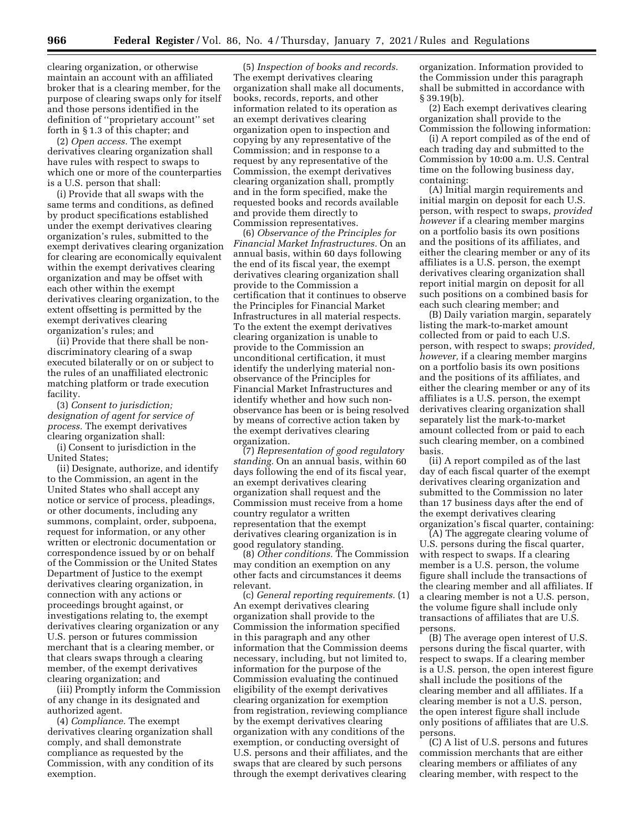clearing organization, or otherwise maintain an account with an affiliated broker that is a clearing member, for the purpose of clearing swaps only for itself and those persons identified in the definition of ''proprietary account'' set forth in § 1.3 of this chapter; and

(2) *Open access.* The exempt derivatives clearing organization shall have rules with respect to swaps to which one or more of the counterparties is a U.S. person that shall:

(i) Provide that all swaps with the same terms and conditions, as defined by product specifications established under the exempt derivatives clearing organization's rules, submitted to the exempt derivatives clearing organization for clearing are economically equivalent within the exempt derivatives clearing organization and may be offset with each other within the exempt derivatives clearing organization, to the extent offsetting is permitted by the exempt derivatives clearing organization's rules; and

(ii) Provide that there shall be nondiscriminatory clearing of a swap executed bilaterally or on or subject to the rules of an unaffiliated electronic matching platform or trade execution facility.

(3) *Consent to jurisdiction; designation of agent for service of process.* The exempt derivatives clearing organization shall:

(i) Consent to jurisdiction in the United States;

(ii) Designate, authorize, and identify to the Commission, an agent in the United States who shall accept any notice or service of process, pleadings, or other documents, including any summons, complaint, order, subpoena, request for information, or any other written or electronic documentation or correspondence issued by or on behalf of the Commission or the United States Department of Justice to the exempt derivatives clearing organization, in connection with any actions or proceedings brought against, or investigations relating to, the exempt derivatives clearing organization or any U.S. person or futures commission merchant that is a clearing member, or that clears swaps through a clearing member, of the exempt derivatives clearing organization; and

(iii) Promptly inform the Commission of any change in its designated and authorized agent.

(4) *Compliance.* The exempt derivatives clearing organization shall comply, and shall demonstrate compliance as requested by the Commission, with any condition of its exemption.

(5) *Inspection of books and records.*  The exempt derivatives clearing organization shall make all documents, books, records, reports, and other information related to its operation as an exempt derivatives clearing organization open to inspection and copying by any representative of the Commission; and in response to a request by any representative of the Commission, the exempt derivatives clearing organization shall, promptly and in the form specified, make the requested books and records available and provide them directly to Commission representatives.

(6) *Observance of the Principles for Financial Market Infrastructures.* On an annual basis, within 60 days following the end of its fiscal year, the exempt derivatives clearing organization shall provide to the Commission a certification that it continues to observe the Principles for Financial Market Infrastructures in all material respects. To the extent the exempt derivatives clearing organization is unable to provide to the Commission an unconditional certification, it must identify the underlying material nonobservance of the Principles for Financial Market Infrastructures and identify whether and how such nonobservance has been or is being resolved by means of corrective action taken by the exempt derivatives clearing organization.

(7) *Representation of good regulatory standing.* On an annual basis, within 60 days following the end of its fiscal year, an exempt derivatives clearing organization shall request and the Commission must receive from a home country regulator a written representation that the exempt derivatives clearing organization is in good regulatory standing.

(8) *Other conditions.* The Commission may condition an exemption on any other facts and circumstances it deems relevant.

(c) *General reporting requirements.* (1) An exempt derivatives clearing organization shall provide to the Commission the information specified in this paragraph and any other information that the Commission deems necessary, including, but not limited to, information for the purpose of the Commission evaluating the continued eligibility of the exempt derivatives clearing organization for exemption from registration, reviewing compliance by the exempt derivatives clearing organization with any conditions of the exemption, or conducting oversight of U.S. persons and their affiliates, and the swaps that are cleared by such persons through the exempt derivatives clearing

organization. Information provided to the Commission under this paragraph shall be submitted in accordance with § 39.19(b).

(2) Each exempt derivatives clearing organization shall provide to the Commission the following information:

(i) A report compiled as of the end of each trading day and submitted to the Commission by 10:00 a.m. U.S. Central time on the following business day, containing:

(A) Initial margin requirements and initial margin on deposit for each U.S. person, with respect to swaps, *provided however* if a clearing member margins on a portfolio basis its own positions and the positions of its affiliates, and either the clearing member or any of its affiliates is a U.S. person, the exempt derivatives clearing organization shall report initial margin on deposit for all such positions on a combined basis for each such clearing member; and

(B) Daily variation margin, separately listing the mark-to-market amount collected from or paid to each U.S. person, with respect to swaps; *provided, however,* if a clearing member margins on a portfolio basis its own positions and the positions of its affiliates, and either the clearing member or any of its affiliates is a U.S. person, the exempt derivatives clearing organization shall separately list the mark-to-market amount collected from or paid to each such clearing member, on a combined basis.

(ii) A report compiled as of the last day of each fiscal quarter of the exempt derivatives clearing organization and submitted to the Commission no later than 17 business days after the end of the exempt derivatives clearing organization's fiscal quarter, containing:

(A) The aggregate clearing volume of U.S. persons during the fiscal quarter, with respect to swaps. If a clearing member is a U.S. person, the volume figure shall include the transactions of the clearing member and all affiliates. If a clearing member is not a U.S. person, the volume figure shall include only transactions of affiliates that are U.S. persons.

(B) The average open interest of U.S. persons during the fiscal quarter, with respect to swaps. If a clearing member is a U.S. person, the open interest figure shall include the positions of the clearing member and all affiliates. If a clearing member is not a U.S. person, the open interest figure shall include only positions of affiliates that are U.S. persons.

(C) A list of U.S. persons and futures commission merchants that are either clearing members or affiliates of any clearing member, with respect to the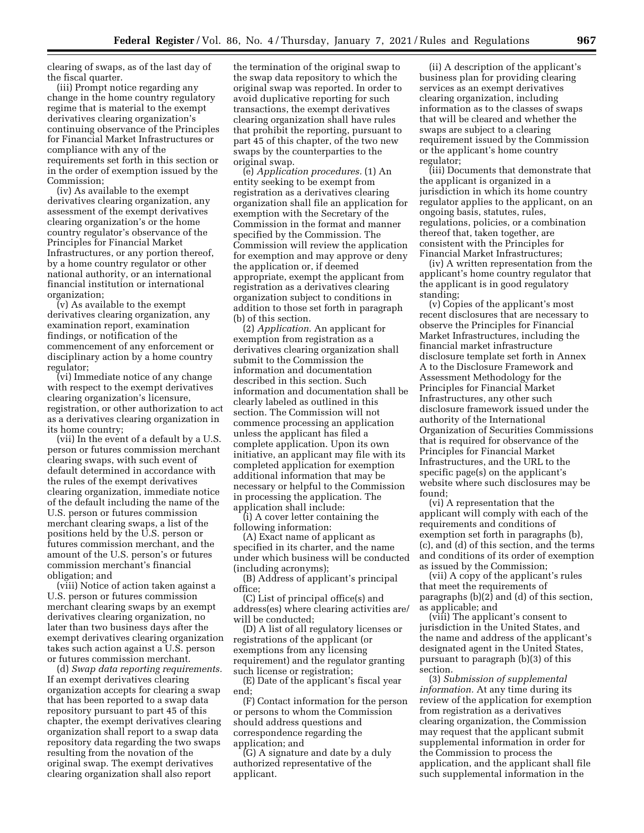clearing of swaps, as of the last day of the fiscal quarter.

(iii) Prompt notice regarding any change in the home country regulatory regime that is material to the exempt derivatives clearing organization's continuing observance of the Principles for Financial Market Infrastructures or compliance with any of the requirements set forth in this section or in the order of exemption issued by the Commission;

(iv) As available to the exempt derivatives clearing organization, any assessment of the exempt derivatives clearing organization's or the home country regulator's observance of the Principles for Financial Market Infrastructures, or any portion thereof, by a home country regulator or other national authority, or an international financial institution or international organization;

(v) As available to the exempt derivatives clearing organization, any examination report, examination findings, or notification of the commencement of any enforcement or disciplinary action by a home country regulator;

(vi) Immediate notice of any change with respect to the exempt derivatives clearing organization's licensure, registration, or other authorization to act as a derivatives clearing organization in its home country;

(vii) In the event of a default by a U.S. person or futures commission merchant clearing swaps, with such event of default determined in accordance with the rules of the exempt derivatives clearing organization, immediate notice of the default including the name of the U.S. person or futures commission merchant clearing swaps, a list of the positions held by the U.S. person or futures commission merchant, and the amount of the U.S. person's or futures commission merchant's financial obligation; and

(viii) Notice of action taken against a U.S. person or futures commission merchant clearing swaps by an exempt derivatives clearing organization, no later than two business days after the exempt derivatives clearing organization takes such action against a U.S. person or futures commission merchant.

(d) *Swap data reporting requirements.*  If an exempt derivatives clearing organization accepts for clearing a swap that has been reported to a swap data repository pursuant to part 45 of this chapter, the exempt derivatives clearing organization shall report to a swap data repository data regarding the two swaps resulting from the novation of the original swap. The exempt derivatives clearing organization shall also report

the termination of the original swap to the swap data repository to which the original swap was reported. In order to avoid duplicative reporting for such transactions, the exempt derivatives clearing organization shall have rules that prohibit the reporting, pursuant to part 45 of this chapter, of the two new swaps by the counterparties to the original swap.

(e) *Application procedures.* (1) An entity seeking to be exempt from registration as a derivatives clearing organization shall file an application for exemption with the Secretary of the Commission in the format and manner specified by the Commission. The Commission will review the application for exemption and may approve or deny the application or, if deemed appropriate, exempt the applicant from registration as a derivatives clearing organization subject to conditions in addition to those set forth in paragraph (b) of this section.

(2) *Application.* An applicant for exemption from registration as a derivatives clearing organization shall submit to the Commission the information and documentation described in this section. Such information and documentation shall be clearly labeled as outlined in this section. The Commission will not commence processing an application unless the applicant has filed a complete application. Upon its own initiative, an applicant may file with its completed application for exemption additional information that may be necessary or helpful to the Commission in processing the application. The application shall include:

(i) A cover letter containing the following information:

(A) Exact name of applicant as specified in its charter, and the name under which business will be conducted (including acronyms);

(B) Address of applicant's principal office;

(C) List of principal office(s) and address(es) where clearing activities are/ will be conducted;

(D) A list of all regulatory licenses or registrations of the applicant (or exemptions from any licensing requirement) and the regulator granting such license or registration;

(E) Date of the applicant's fiscal year end;

(F) Contact information for the person or persons to whom the Commission should address questions and correspondence regarding the application; and

(G) A signature and date by a duly authorized representative of the applicant.

(ii) A description of the applicant's business plan for providing clearing services as an exempt derivatives clearing organization, including information as to the classes of swaps that will be cleared and whether the swaps are subject to a clearing requirement issued by the Commission or the applicant's home country regulator;

(iii) Documents that demonstrate that the applicant is organized in a jurisdiction in which its home country regulator applies to the applicant, on an ongoing basis, statutes, rules, regulations, policies, or a combination thereof that, taken together, are consistent with the Principles for Financial Market Infrastructures;

(iv) A written representation from the applicant's home country regulator that the applicant is in good regulatory standing;

(v) Copies of the applicant's most recent disclosures that are necessary to observe the Principles for Financial Market Infrastructures, including the financial market infrastructure disclosure template set forth in Annex A to the Disclosure Framework and Assessment Methodology for the Principles for Financial Market Infrastructures, any other such disclosure framework issued under the authority of the International Organization of Securities Commissions that is required for observance of the Principles for Financial Market Infrastructures, and the URL to the specific page(s) on the applicant's website where such disclosures may be found;

(vi) A representation that the applicant will comply with each of the requirements and conditions of exemption set forth in paragraphs (b), (c), and (d) of this section, and the terms and conditions of its order of exemption as issued by the Commission;

(vii) A copy of the applicant's rules that meet the requirements of paragraphs (b)(2) and (d) of this section, as applicable; and

(viii) The applicant's consent to jurisdiction in the United States, and the name and address of the applicant's designated agent in the United States, pursuant to paragraph (b)(3) of this section.

(3) *Submission of supplemental information.* At any time during its review of the application for exemption from registration as a derivatives clearing organization, the Commission may request that the applicant submit supplemental information in order for the Commission to process the application, and the applicant shall file such supplemental information in the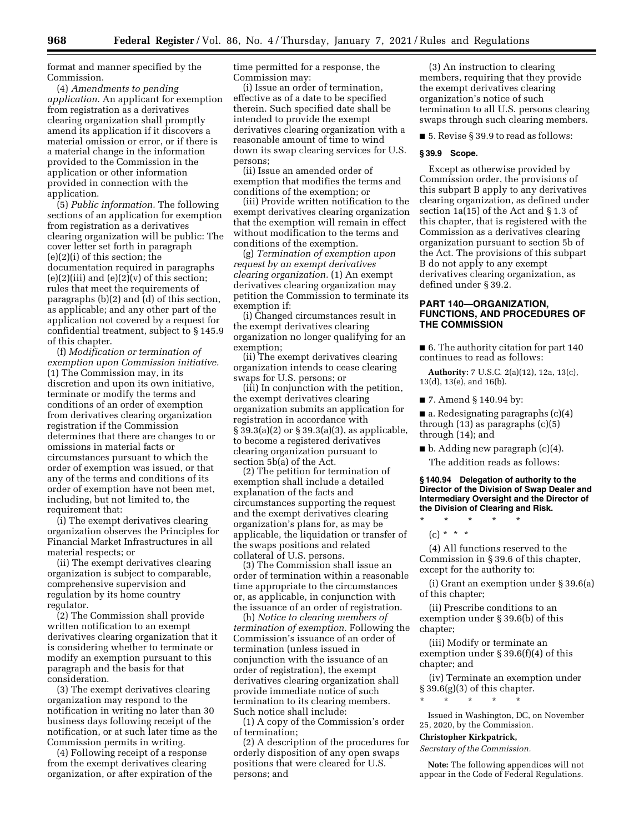format and manner specified by the Commission.

(4) *Amendments to pending application.* An applicant for exemption from registration as a derivatives clearing organization shall promptly amend its application if it discovers a material omission or error, or if there is a material change in the information provided to the Commission in the application or other information provided in connection with the application.

(5) *Public information.* The following sections of an application for exemption from registration as a derivatives clearing organization will be public: The cover letter set forth in paragraph (e)(2)(i) of this section; the documentation required in paragraphs (e)(2)(iii) and (e)(2)(v) of this section; rules that meet the requirements of paragraphs (b)(2) and (d) of this section, as applicable; and any other part of the application not covered by a request for confidential treatment, subject to § 145.9 of this chapter.

(f) *Modification or termination of exemption upon Commission initiative.*  (1) The Commission may, in its discretion and upon its own initiative, terminate or modify the terms and conditions of an order of exemption from derivatives clearing organization registration if the Commission determines that there are changes to or omissions in material facts or circumstances pursuant to which the order of exemption was issued, or that any of the terms and conditions of its order of exemption have not been met, including, but not limited to, the requirement that:

(i) The exempt derivatives clearing organization observes the Principles for Financial Market Infrastructures in all material respects; or

(ii) The exempt derivatives clearing organization is subject to comparable, comprehensive supervision and regulation by its home country regulator.

(2) The Commission shall provide written notification to an exempt derivatives clearing organization that it is considering whether to terminate or modify an exemption pursuant to this paragraph and the basis for that consideration.

(3) The exempt derivatives clearing organization may respond to the notification in writing no later than 30 business days following receipt of the notification, or at such later time as the Commission permits in writing.

(4) Following receipt of a response from the exempt derivatives clearing organization, or after expiration of the time permitted for a response, the Commission may:

(i) Issue an order of termination, effective as of a date to be specified therein. Such specified date shall be intended to provide the exempt derivatives clearing organization with a reasonable amount of time to wind down its swap clearing services for U.S. persons;

(ii) Issue an amended order of exemption that modifies the terms and conditions of the exemption; or

(iii) Provide written notification to the exempt derivatives clearing organization that the exemption will remain in effect without modification to the terms and conditions of the exemption.

(g) *Termination of exemption upon request by an exempt derivatives clearing organization.* (1) An exempt derivatives clearing organization may petition the Commission to terminate its exemption if:

(i) Changed circumstances result in the exempt derivatives clearing organization no longer qualifying for an exemption;

(ii) The exempt derivatives clearing organization intends to cease clearing swaps for U.S. persons; or

(iii) In conjunction with the petition, the exempt derivatives clearing organization submits an application for registration in accordance with § 39.3(a)(2) or § 39.3(a)(3), as applicable, to become a registered derivatives clearing organization pursuant to section 5b(a) of the Act.

(2) The petition for termination of exemption shall include a detailed explanation of the facts and circumstances supporting the request and the exempt derivatives clearing organization's plans for, as may be applicable, the liquidation or transfer of the swaps positions and related collateral of U.S. persons.

(3) The Commission shall issue an order of termination within a reasonable time appropriate to the circumstances or, as applicable, in conjunction with the issuance of an order of registration.

(h) *Notice to clearing members of termination of exemption.* Following the Commission's issuance of an order of termination (unless issued in conjunction with the issuance of an order of registration), the exempt derivatives clearing organization shall provide immediate notice of such termination to its clearing members. Such notice shall include:

(1) A copy of the Commission's order of termination;

(2) A description of the procedures for orderly disposition of any open swaps positions that were cleared for U.S. persons; and

(3) An instruction to clearing members, requiring that they provide the exempt derivatives clearing organization's notice of such termination to all U.S. persons clearing swaps through such clearing members.

■ 5. Revise § 39.9 to read as follows:

# **§ 39.9 Scope.**

Except as otherwise provided by Commission order, the provisions of this subpart B apply to any derivatives clearing organization, as defined under section 1a(15) of the Act and § 1.3 of this chapter, that is registered with the Commission as a derivatives clearing organization pursuant to section 5b of the Act. The provisions of this subpart B do not apply to any exempt derivatives clearing organization, as defined under § 39.2.

# **PART 140—ORGANIZATION, FUNCTIONS, AND PROCEDURES OF THE COMMISSION**

■ 6. The authority citation for part 140 continues to read as follows:

**Authority:** 7 U.S.C. 2(a)(12), 12a, 13(c), 13(d), 13(e), and 16(b).

■ 7. Amend § 140.94 by:

 $\blacksquare$  a. Redesignating paragraphs (c)(4) through (13) as paragraphs (c)(5) through (14); and

■ b. Adding new paragraph (c)(4). The addition reads as follows:

#### **§ 140.94 Delegation of authority to the Director of the Division of Swap Dealer and Intermediary Oversight and the Director of the Division of Clearing and Risk.**

\* \* \* \* \*

 $(c) * * * *$ 

(4) All functions reserved to the Commission in § 39.6 of this chapter, except for the authority to:

(i) Grant an exemption under § 39.6(a) of this chapter;

(ii) Prescribe conditions to an exemption under § 39.6(b) of this chapter;

(iii) Modify or terminate an exemption under § 39.6(f)(4) of this chapter; and

(iv) Terminate an exemption under § 39.6(g)(3) of this chapter.

\* \* \* \* \*

Issued in Washington, DC, on November 25, 2020, by the Commission.

#### **Christopher Kirkpatrick,**

*Secretary of the Commission.* 

**Note:** The following appendices will not appear in the Code of Federal Regulations.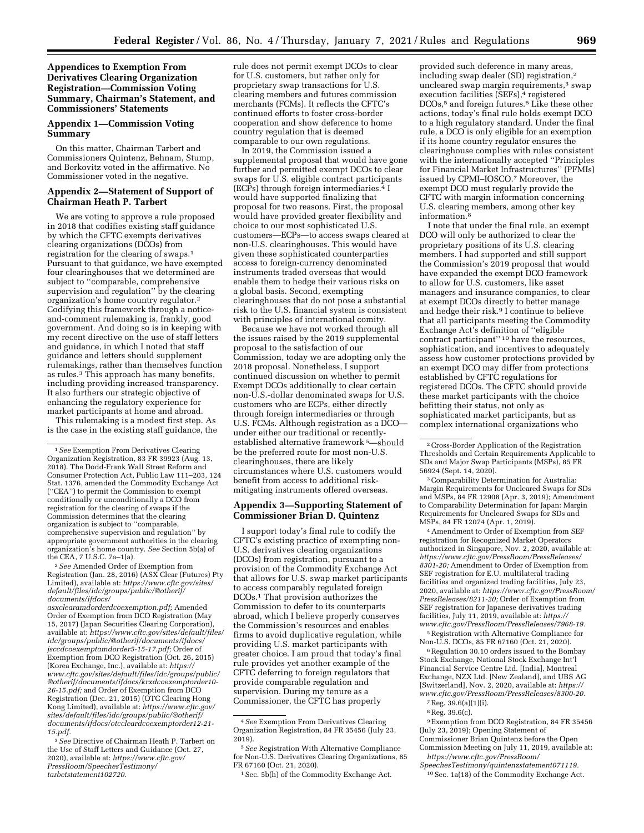**Appendices to Exemption From Derivatives Clearing Organization Registration—Commission Voting Summary, Chairman's Statement, and Commissioners' Statements** 

#### **Appendix 1—Commission Voting Summary**

On this matter, Chairman Tarbert and Commissioners Quintenz, Behnam, Stump, and Berkovitz voted in the affirmative. No Commissioner voted in the negative.

# **Appendix 2—Statement of Support of Chairman Heath P. Tarbert**

We are voting to approve a rule proposed in 2018 that codifies existing staff guidance by which the CFTC exempts derivatives clearing organizations (DCOs) from registration for the clearing of swaps.1 Pursuant to that guidance, we have exempted four clearinghouses that we determined are subject to ''comparable, comprehensive supervision and regulation'' by the clearing organization's home country regulator.2 Codifying this framework through a noticeand-comment rulemaking is, frankly, good government. And doing so is in keeping with my recent directive on the use of staff letters and guidance, in which I noted that staff guidance and letters should supplement rulemakings, rather than themselves function as rules.<sup>3</sup> This approach has many benefits, including providing increased transparency. It also furthers our strategic objective of enhancing the regulatory experience for market participants at home and abroad.

This rulemaking is a modest first step. As is the case in the existing staff guidance, the

2*See* Amended Order of Exemption from Registration (Jan. 28, 2016) (ASX Clear (Futures) Pty Limited), available at: *[https://www.cftc.gov/sites/](https://www.cftc.gov/sites/default/files/idc/groups/public/@otherif/documents/ifdocs/asxclearamdorderdcoexemption.pdf)  [default/files/idc/groups/public/@otherif/](https://www.cftc.gov/sites/default/files/idc/groups/public/@otherif/documents/ifdocs/asxclearamdorderdcoexemption.pdf)  [documents/ifdocs/](https://www.cftc.gov/sites/default/files/idc/groups/public/@otherif/documents/ifdocs/asxclearamdorderdcoexemption.pdf)* 

*[asxclearamdorderdcoexemption.pdf;](https://www.cftc.gov/sites/default/files/idc/groups/public/@otherif/documents/ifdocs/asxclearamdorderdcoexemption.pdf)* Amended Order of Exemption from DCO Registration (May 15, 2017) (Japan Securities Clearing Corporation), available at: *[https://www.cftc.gov/sites/default/files/](https://www.cftc.gov/sites/default/files/idc/groups/public/@otherif/documents/ifdocs/jsccdcoexemptamdorder5-15-17.pdf)  [idc/groups/public/@otherif/documents/ifdocs/](https://www.cftc.gov/sites/default/files/idc/groups/public/@otherif/documents/ifdocs/jsccdcoexemptamdorder5-15-17.pdf)  [jsccdcoexemptamdorder5-15-17.pdf;](https://www.cftc.gov/sites/default/files/idc/groups/public/@otherif/documents/ifdocs/jsccdcoexemptamdorder5-15-17.pdf)* Order of Exemption from DCO Registration (Oct. 26, 2015) (Korea Exchange, Inc.), available at: *[https://](https://www.cftc.gov/sites/default/files/idc/groups/public/@otherif/documents/ifdocs/krxdcoexemptorder10-26-15.pdf) [www.cftc.gov/sites/default/files/idc/groups/public/](https://www.cftc.gov/sites/default/files/idc/groups/public/@otherif/documents/ifdocs/krxdcoexemptorder10-26-15.pdf)  [@otherif/documents/ifdocs/krxdcoexemptorder10-](https://www.cftc.gov/sites/default/files/idc/groups/public/@otherif/documents/ifdocs/krxdcoexemptorder10-26-15.pdf)  [26-15.pdf;](https://www.cftc.gov/sites/default/files/idc/groups/public/@otherif/documents/ifdocs/krxdcoexemptorder10-26-15.pdf)* and Order of Exemption from DCO Registration (Dec. 21, 2015) (OTC Clearing Hong Kong Limited), available at: *[https://www.cftc.gov/](https://www.cftc.gov/sites/default/files/idc/groups/public/@otherif/documents/ifdocs/otccleardcoexemptorder12-21-15.pdf)  [sites/default/files/idc/groups/public/@otherif/](https://www.cftc.gov/sites/default/files/idc/groups/public/@otherif/documents/ifdocs/otccleardcoexemptorder12-21-15.pdf)  [documents/ifdocs/otccleardcoexemptorder12-21-](https://www.cftc.gov/sites/default/files/idc/groups/public/@otherif/documents/ifdocs/otccleardcoexemptorder12-21-15.pdf)  [15.pdf.](https://www.cftc.gov/sites/default/files/idc/groups/public/@otherif/documents/ifdocs/otccleardcoexemptorder12-21-15.pdf)* 

3*See* Directive of Chairman Heath P. Tarbert on the Use of Staff Letters and Guidance (Oct. 27, 2020), available at: *[https://www.cftc.gov/](https://www.cftc.gov/PressRoom/SpeechesTestimony/tarbetstatement102720) [PressRoom/SpeechesTestimony/](https://www.cftc.gov/PressRoom/SpeechesTestimony/tarbetstatement102720)  [tarbetstatement102720.](https://www.cftc.gov/PressRoom/SpeechesTestimony/tarbetstatement102720)* 

rule does not permit exempt DCOs to clear for U.S. customers, but rather only for proprietary swap transactions for U.S. clearing members and futures commission merchants (FCMs). It reflects the CFTC's continued efforts to foster cross-border cooperation and show deference to home country regulation that is deemed comparable to our own regulations.

In 2019, the Commission issued a supplemental proposal that would have gone further and permitted exempt DCOs to clear swaps for U.S. eligible contract participants  $(ECPs)$  through foreign intermediaries.<sup>4</sup> I would have supported finalizing that proposal for two reasons. First, the proposal would have provided greater flexibility and choice to our most sophisticated U.S. customers—ECPs—to access swaps cleared at non-U.S. clearinghouses. This would have given these sophisticated counterparties access to foreign-currency denominated instruments traded overseas that would enable them to hedge their various risks on a global basis. Second, exempting clearinghouses that do not pose a substantial risk to the U.S. financial system is consistent with principles of international comity.

Because we have not worked through all the issues raised by the 2019 supplemental proposal to the satisfaction of our Commission, today we are adopting only the 2018 proposal. Nonetheless, I support continued discussion on whether to permit Exempt DCOs additionally to clear certain non-U.S.-dollar denominated swaps for U.S. customers who are ECPs, either directly through foreign intermediaries or through U.S. FCMs. Although registration as a DCO under either our traditional or recentlyestablished alternative framework 5—should be the preferred route for most non-U.S. clearinghouses, there are likely circumstances where U.S. customers would benefit from access to additional riskmitigating instruments offered overseas.

#### **Appendix 3—Supporting Statement of Commissioner Brian D. Quintenz**

I support today's final rule to codify the CFTC's existing practice of exempting non-U.S. derivatives clearing organizations (DCOs) from registration, pursuant to a provision of the Commodity Exchange Act that allows for U.S. swap market participants to access comparably regulated foreign DCOs.1 That provision authorizes the Commission to defer to its counterparts abroad, which I believe properly conserves the Commission's resources and enables firms to avoid duplicative regulation, while providing U.S. market participants with greater choice. I am proud that today's final rule provides yet another example of the CFTC deferring to foreign regulators that provide comparable regulation and supervision. During my tenure as a Commissioner, the CFTC has properly

provided such deference in many areas, including swap dealer (SD) registration,2 uncleared swap margin requirements,3 swap execution facilities (SEFs),<sup>4</sup> registered DCOs,<sup>5</sup> and foreign futures.<sup>6</sup> Like these other actions, today's final rule holds exempt DCO to a high regulatory standard. Under the final rule, a DCO is only eligible for an exemption if its home country regulator ensures the clearinghouse complies with rules consistent with the internationally accepted ''Principles for Financial Market Infrastructures'' (PFMIs) issued by CPMI–IOSCO.7 Moreover, the exempt DCO must regularly provide the CFTC with margin information concerning U.S. clearing members, among other key information.<sup>8</sup>

I note that under the final rule, an exempt DCO will only be authorized to clear the proprietary positions of its U.S. clearing members. I had supported and still support the Commission's 2019 proposal that would have expanded the exempt DCO framework to allow for U.S. customers, like asset managers and insurance companies, to clear at exempt DCOs directly to better manage and hedge their risk.9 I continue to believe that all participants meeting the Commodity Exchange Act's definition of ''eligible contract participant'' 10 have the resources, sophistication, and incentives to adequately assess how customer protections provided by an exempt DCO may differ from protections established by CFTC regulations for registered DCOs. The CFTC should provide these market participants with the choice befitting their status, not only as sophisticated market participants, but as complex international organizations who

3Comparability Determination for Australia: Margin Requirements for Uncleared Swaps for SDs and MSPs, 84 FR 12908 (Apr. 3, 2019); Amendment to Comparability Determination for Japan: Margin Requirements for Uncleared Swaps for SDs and MSPs, 84 FR 12074 (Apr. 1, 2019).

4Amendment to Order of Exemption from SEF registration for Recognized Market Operators authorized in Singapore, Nov. 2, 2020, available at: *[https://www.cftc.gov/PressRoom/PressReleases/](https://www.cftc.gov/PressRoom/PressReleases/8301-20) [8301-20;](https://www.cftc.gov/PressRoom/PressReleases/8301-20)* Amendment to Order of Exemption from SEF registration for E.U. multilateral trading facilities and organized trading facilities, July 23, 2020, available at: *[https://www.cftc.gov/PressRoom/](https://www.cftc.gov/PressRoom/PressReleases/8211-20)  [PressReleases/8211-20;](https://www.cftc.gov/PressRoom/PressReleases/8211-20)* Order of Exemption from SEF registration for Japanese derivatives trading facilities, July 11, 2019, available at: *[https://](https://www.cftc.gov/PressRoom/PressReleases/7968-19) [www.cftc.gov/PressRoom/PressReleases/7968-19.](https://www.cftc.gov/PressRoom/PressReleases/7968-19)* 

5Registration with Alternative Compliance for Non-U.S. DCOs, 85 FR 67160 (Oct. 21, 2020).

6Regulation 30.10 orders issued to the Bombay Stock Exchange, National Stock Exchange Int'l Financial Service Centre Ltd. [India], Montreal Exchange, NZX Ltd. [New Zealand], and UBS AG [Switzerland], Nov. 2, 2020, available at: *[https://](https://www.cftc.gov/PressRoom/PressReleases/8300-20) [www.cftc.gov/PressRoom/PressReleases/8300-20.](https://www.cftc.gov/PressRoom/PressReleases/8300-20)* 

9Exemption from DCO Registration, 84 FR 35456 (July 23, 2019); Opening Statement of Commissioner Brian Quintenz before the Open Commission Meeting on July 11, 2019, available at: *[https://www.cftc.gov/PressRoom/](https://www.cftc.gov/PressRoom/SpeechesTestimony/quintenzstatement071119)* 

*[SpeechesTestimony/quintenzstatement071119.](https://www.cftc.gov/PressRoom/SpeechesTestimony/quintenzstatement071119)*  10Sec. 1a(18) of the Commodity Exchange Act.

<sup>1</sup>*See* Exemption From Derivatives Clearing Organization Registration, 83 FR 39923 (Aug. 13, 2018). The Dodd-Frank Wall Street Reform and Consumer Protection Act, Public Law 111–203, 124 Stat. 1376, amended the Commodity Exchange Act (''CEA'') to permit the Commission to exempt conditionally or unconditionally a DCO from registration for the clearing of swaps if the Commission determines that the clearing organization is subject to ''comparable, comprehensive supervision and regulation'' by appropriate government authorities in the clearing organization's home country. *See* Section 5b(a) of the CEA, 7 U.S.C. 7a–1(a).

<sup>4</sup>*See* Exemption From Derivatives Clearing Organization Registration, 84 FR 35456 (July 23, 2019).

<sup>5</sup>*See* Registration With Alternative Compliance for Non-U.S. Derivatives Clearing Organizations, 85 FR 67160 (Oct. 21, 2020).

<sup>1</sup>Sec. 5b(h) of the Commodity Exchange Act.

<sup>2</sup>Cross-Border Application of the Registration Thresholds and Certain Requirements Applicable to SDs and Major Swap Participants (MSPs), 85 FR 56924 (Sept. 14, 2020).

<sup>7</sup>Reg. 39.6(a)(1)(i).

<sup>8</sup>Reg. 39.6(c).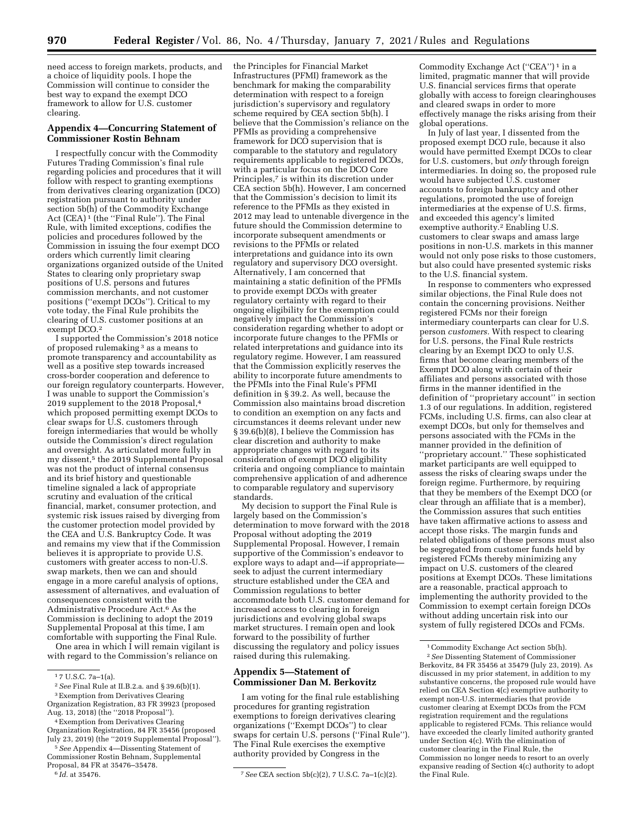need access to foreign markets, products, and a choice of liquidity pools. I hope the Commission will continue to consider the best way to expand the exempt DCO framework to allow for U.S. customer clearing.

# **Appendix 4—Concurring Statement of Commissioner Rostin Behnam**

I respectfully concur with the Commodity Futures Trading Commission's final rule regarding policies and procedures that it will follow with respect to granting exemptions from derivatives clearing organization (DCO) registration pursuant to authority under section 5b(h) of the Commodity Exchange Act (CEA) 1 (the ''Final Rule''). The Final Rule, with limited exceptions, codifies the policies and procedures followed by the Commission in issuing the four exempt DCO orders which currently limit clearing organizations organized outside of the United States to clearing only proprietary swap positions of U.S. persons and futures commission merchants, and not customer positions (''exempt DCOs''). Critical to my vote today, the Final Rule prohibits the clearing of U.S. customer positions at an exempt DCO.2

I supported the Commission's 2018 notice of proposed rulemaking 3 as a means to promote transparency and accountability as well as a positive step towards increased cross-border cooperation and deference to our foreign regulatory counterparts. However, I was unable to support the Commission's 2019 supplement to the 2018 Proposal,4 which proposed permitting exempt DCOs to clear swaps for U.S. customers through foreign intermediaries that would be wholly outside the Commission's direct regulation and oversight. As articulated more fully in my dissent,<sup>5</sup> the 2019 Supplemental Proposal was not the product of internal consensus and its brief history and questionable timeline signaled a lack of appropriate scrutiny and evaluation of the critical financial, market, consumer protection, and systemic risk issues raised by diverging from the customer protection model provided by the CEA and U.S. Bankruptcy Code. It was and remains my view that if the Commission believes it is appropriate to provide U.S. customers with greater access to non-U.S. swap markets, then we can and should engage in a more careful analysis of options, assessment of alternatives, and evaluation of consequences consistent with the Administrative Procedure Act.6 As the Commission is declining to adopt the 2019 Supplemental Proposal at this time, I am comfortable with supporting the Final Rule.

One area in which I will remain vigilant is with regard to the Commission's reliance on

Organization Registration, 84 FR 35456 (proposed July 23, 2019) (the "2019 Supplemental Proposal").

the Principles for Financial Market Infrastructures (PFMI) framework as the benchmark for making the comparability determination with respect to a foreign jurisdiction's supervisory and regulatory scheme required by CEA section 5b(h). I believe that the Commission's reliance on the PFMIs as providing a comprehensive framework for DCO supervision that is comparable to the statutory and regulatory requirements applicable to registered DCOs, with a particular focus on the DCO Core Principles,<sup>7</sup> is within its discretion under CEA section 5b(h). However, I am concerned that the Commission's decision to limit its reference to the PFMIs as they existed in 2012 may lead to untenable divergence in the future should the Commission determine to incorporate subsequent amendments or revisions to the PFMIs or related interpretations and guidance into its own regulatory and supervisory DCO oversight. Alternatively, I am concerned that maintaining a static definition of the PFMIs to provide exempt DCOs with greater regulatory certainty with regard to their ongoing eligibility for the exemption could negatively impact the Commission's consideration regarding whether to adopt or incorporate future changes to the PFMIs or related interpretations and guidance into its regulatory regime. However, I am reassured that the Commission explicitly reserves the ability to incorporate future amendments to the PFMIs into the Final Rule's PFMI definition in § 39.2. As well, because the Commission also maintains broad discretion to condition an exemption on any facts and circumstances it deems relevant under new § 39.6(b)(8), I believe the Commission has clear discretion and authority to make appropriate changes with regard to its consideration of exempt DCO eligibility criteria and ongoing compliance to maintain comprehensive application of and adherence to comparable regulatory and supervisory standards.

My decision to support the Final Rule is largely based on the Commission's determination to move forward with the 2018 Proposal without adopting the 2019 Supplemental Proposal. However, I remain supportive of the Commission's endeavor to explore ways to adapt and—if appropriate seek to adjust the current intermediary structure established under the CEA and Commission regulations to better accommodate both U.S. customer demand for increased access to clearing in foreign jurisdictions and evolving global swaps market structures. I remain open and look forward to the possibility of further discussing the regulatory and policy issues raised during this rulemaking.

# **Appendix 5—Statement of Commissioner Dan M. Berkovitz**

I am voting for the final rule establishing procedures for granting registration exemptions to foreign derivatives clearing organizations (''Exempt DCOs'') to clear swaps for certain U.S. persons (''Final Rule''). The Final Rule exercises the exemptive authority provided by Congress in the

Commodity Exchange Act (''CEA'') 1 in a limited, pragmatic manner that will provide U.S. financial services firms that operate globally with access to foreign clearinghouses and cleared swaps in order to more effectively manage the risks arising from their global operations.

In July of last year, I dissented from the proposed exempt DCO rule, because it also would have permitted Exempt DCOs to clear for U.S. customers, but *only* through foreign intermediaries. In doing so, the proposed rule would have subjected U.S. customer accounts to foreign bankruptcy and other regulations, promoted the use of foreign intermediaries at the expense of U.S. firms, and exceeded this agency's limited exemptive authority.2 Enabling U.S. customers to clear swaps and amass large positions in non-U.S. markets in this manner would not only pose risks to those customers, but also could have presented systemic risks to the U.S. financial system.

In response to commenters who expressed similar objections, the Final Rule does not contain the concerning provisions. Neither registered FCMs nor their foreign intermediary counterparts can clear for U.S. person *customers.* With respect to clearing for U.S. persons, the Final Rule restricts clearing by an Exempt DCO to only U.S. firms that become clearing members of the Exempt DCO along with certain of their affiliates and persons associated with those firms in the manner identified in the definition of ''proprietary account'' in section 1.3 of our regulations. In addition, registered FCMs, including U.S. firms, can also clear at exempt DCOs, but only for themselves and persons associated with the FCMs in the manner provided in the definition of ''proprietary account.'' These sophisticated market participants are well equipped to assess the risks of clearing swaps under the foreign regime. Furthermore, by requiring that they be members of the Exempt DCO (or clear through an affiliate that is a member), the Commission assures that such entities have taken affirmative actions to assess and accept those risks. The margin funds and related obligations of these persons must also be segregated from customer funds held by registered FCMs thereby minimizing any impact on U.S. customers of the cleared positions at Exempt DCOs. These limitations are a reasonable, practical approach to implementing the authority provided to the Commission to exempt certain foreign DCOs without adding uncertain risk into our system of fully registered DCOs and FCMs.

<sup>1</sup> 7 U.S.C. 7a–1(a).

<sup>2</sup>*See* Final Rule at II.B.2.a. and § 39.6(b)(1).

<sup>3</sup>Exemption from Derivatives Clearing Organization Registration, 83 FR 39923 (proposed Aug. 13, 2018) (the ''2018 Proposal'').

<sup>4</sup>Exemption from Derivatives Clearing

<sup>5</sup>*See* Appendix 4—Dissenting Statement of Commissioner Rostin Behnam, Supplemental Proposal, 84 FR at 35476–35478.<br> $6$  Id. at 35476.

<sup>&</sup>lt;sup>7</sup> See CEA section 5b(c)(2), 7 U.S.C. 7a-1(c)(2).

<sup>&</sup>lt;sup>1</sup> Commodity Exchange Act section 5b(h). 2*See* Dissenting Statement of Commissioner Berkovitz, 84 FR 35456 at 35479 (July 23, 2019). As discussed in my prior statement, in addition to my substantive concerns, the proposed rule would have relied on CEA Section 4(c) exemptive authority to exempt non-U.S. intermediaries that provide customer clearing at Exempt DCOs from the FCM registration requirement and the regulations applicable to registered FCMs. This reliance would have exceeded the clearly limited authority granted under Section 4(c). With the elimination of customer clearing in the Final Rule, the Commission no longer needs to resort to an overly expansive reading of Section 4(c) authority to adopt the Final Rule.